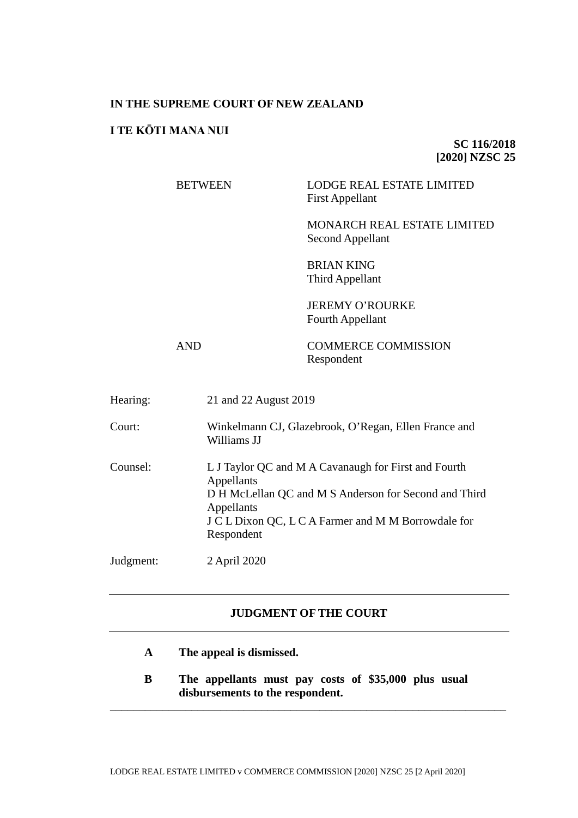# **IN THE SUPREME COURT OF NEW ZEALAND**

# **I TE KŌTI MANA NUI**

**SC 116/2018 [2020] NZSC 25**

BETWEEN LODGE REAL ESTATE LIMITED First Appellant

> MONARCH REAL ESTATE LIMITED Second Appellant

BRIAN KING Third Appellant

JEREMY O'ROURKE Fourth Appellant

AND COMMERCE COMMISSION Respondent

| Hearing:  | 21 and 22 August 2019                                                                                                                                                                                          |  |
|-----------|----------------------------------------------------------------------------------------------------------------------------------------------------------------------------------------------------------------|--|
| Court:    | Winkelmann CJ, Glazebrook, O'Regan, Ellen France and<br>Williams JJ                                                                                                                                            |  |
| Counsel:  | L J Taylor QC and M A Cavanaugh for First and Fourth<br>Appellants<br>D H McLellan QC and M S Anderson for Second and Third<br>Appellants<br>J C L Dixon QC, L C A Farmer and M M Borrowdale for<br>Respondent |  |
| Judgment: | 2 April 2020                                                                                                                                                                                                   |  |

# **JUDGMENT OF THE COURT**

- **A The appeal is dismissed.**
- **B The appellants must pay costs of \$35,000 plus usual disbursements to the respondent.**

\_\_\_\_\_\_\_\_\_\_\_\_\_\_\_\_\_\_\_\_\_\_\_\_\_\_\_\_\_\_\_\_\_\_\_\_\_\_\_\_\_\_\_\_\_\_\_\_\_\_\_\_\_\_\_\_\_\_\_\_\_\_\_\_\_\_\_\_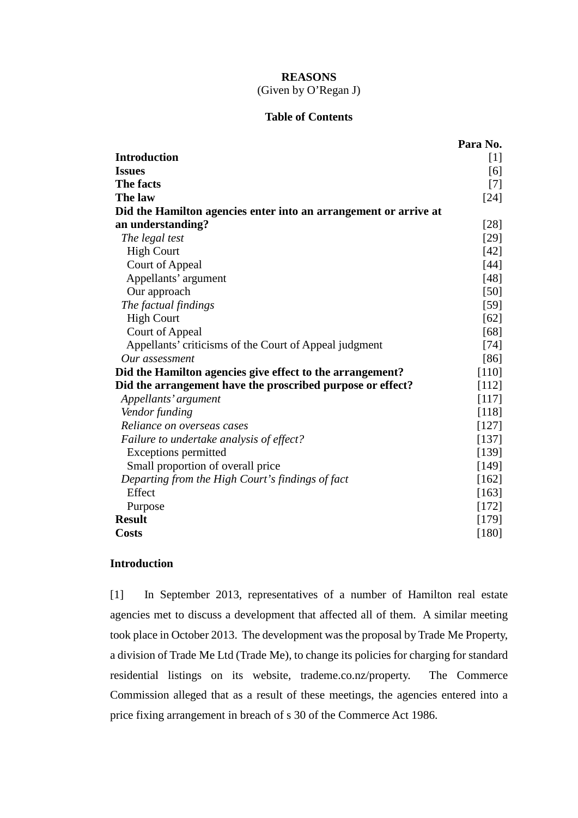# **REASONS** (Given by O'Regan J)

# **Table of Contents**

|                                                                  | Para No. |  |
|------------------------------------------------------------------|----------|--|
| <b>Introduction</b>                                              | $[1]$    |  |
| <b>Issues</b>                                                    | [6]      |  |
| The facts                                                        | $[7]$    |  |
| The law                                                          | $[24]$   |  |
| Did the Hamilton agencies enter into an arrangement or arrive at |          |  |
| an understanding?                                                | $[28]$   |  |
| The legal test                                                   | $[29]$   |  |
| <b>High Court</b>                                                | $[42]$   |  |
| <b>Court of Appeal</b>                                           | $[44]$   |  |
| Appellants' argument                                             | $[48]$   |  |
| Our approach                                                     | $[50]$   |  |
| The factual findings                                             | $[59]$   |  |
| <b>High Court</b>                                                | [62]     |  |
| <b>Court of Appeal</b>                                           | [68]     |  |
| Appellants' criticisms of the Court of Appeal judgment           | $[74]$   |  |
| Our assessment                                                   | [86]     |  |
| Did the Hamilton agencies give effect to the arrangement?        |          |  |
| Did the arrangement have the proscribed purpose or effect?       | [112]    |  |
| Appellants' argument                                             | [117]    |  |
| Vendor funding                                                   | [118]    |  |
| Reliance on overseas cases                                       | [127]    |  |
| Failure to undertake analysis of effect?                         | [137]    |  |
| <b>Exceptions permitted</b>                                      | [139]    |  |
| Small proportion of overall price                                | [149]    |  |
| Departing from the High Court's findings of fact                 | [162]    |  |
| Effect                                                           | [163]    |  |
| Purpose                                                          | [172]    |  |
| <b>Result</b>                                                    | [179]    |  |
| <b>Costs</b>                                                     | $[180]$  |  |

# **Introduction**

<span id="page-1-0"></span>[1] In September 2013, representatives of a number of Hamilton real estate agencies met to discuss a development that affected all of them. A similar meeting took place in October 2013. The development was the proposal by Trade Me Property, a division of Trade Me Ltd (Trade Me), to change its policies for charging for standard residential listings on its website, trademe.co.nz/property. The Commerce Commission alleged that as a result of these meetings, the agencies entered into a price fixing arrangement in breach of s 30 of the Commerce Act 1986.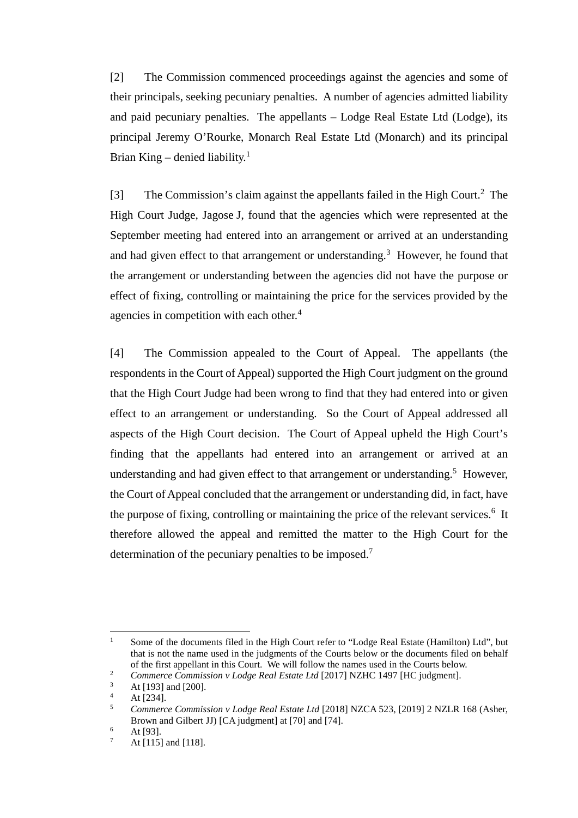[2] The Commission commenced proceedings against the agencies and some of their principals, seeking pecuniary penalties. A number of agencies admitted liability and paid pecuniary penalties. The appellants – Lodge Real Estate Ltd (Lodge), its principal Jeremy O'Rourke, Monarch Real Estate Ltd (Monarch) and its principal Brian King – denied liability.<sup>1</sup>

<span id="page-2-0"></span>[3] The Commission's claim against the appellants failed in the High Court.<sup>2</sup> The High Court Judge, Jagose J, found that the agencies which were represented at the September meeting had entered into an arrangement or arrived at an understanding and had given effect to that arrangement or understanding.<sup>3</sup> However, he found that the arrangement or understanding between the agencies did not have the purpose or effect of fixing, controlling or maintaining the price for the services provided by the agencies in competition with each other.<sup>4</sup>

<span id="page-2-1"></span>[4] The Commission appealed to the Court of Appeal. The appellants (the respondents in the Court of Appeal) supported the High Court judgment on the ground that the High Court Judge had been wrong to find that they had entered into or given effect to an arrangement or understanding. So the Court of Appeal addressed all aspects of the High Court decision. The Court of Appeal upheld the High Court's finding that the appellants had entered into an arrangement or arrived at an understanding and had given effect to that arrangement or understanding.<sup>5</sup> However, the Court of Appeal concluded that the arrangement or understanding did, in fact, have the purpose of fixing, controlling or maintaining the price of the relevant services.<sup>6</sup> It therefore allowed the appeal and remitted the matter to the High Court for the determination of the pecuniary penalties to be imposed.<sup>7</sup>

<sup>&</sup>lt;sup>1</sup> Some of the documents filed in the High Court refer to "Lodge Real Estate (Hamilton) Ltd", but that is not the name used in the judgments of the Courts below or the documents filed on behalf of the first appellant in this Court. We will follow the names used in the Courts below.

<sup>&</sup>lt;sup>2</sup> *Commerce Commission v Lodge Real Estate Ltd* [2017] NZHC 1497 [HC judgment].

At [193] and [200].

 $4$  At [234].

<sup>5</sup> *Commerce Commission v Lodge Real Estate Ltd* [2018] NZCA 523, [2019] 2 NZLR 168 (Asher, Brown and Gilbert JJ) [CA judgment] at [70] and [74].

 $6$  At [93].

At [115] and [118].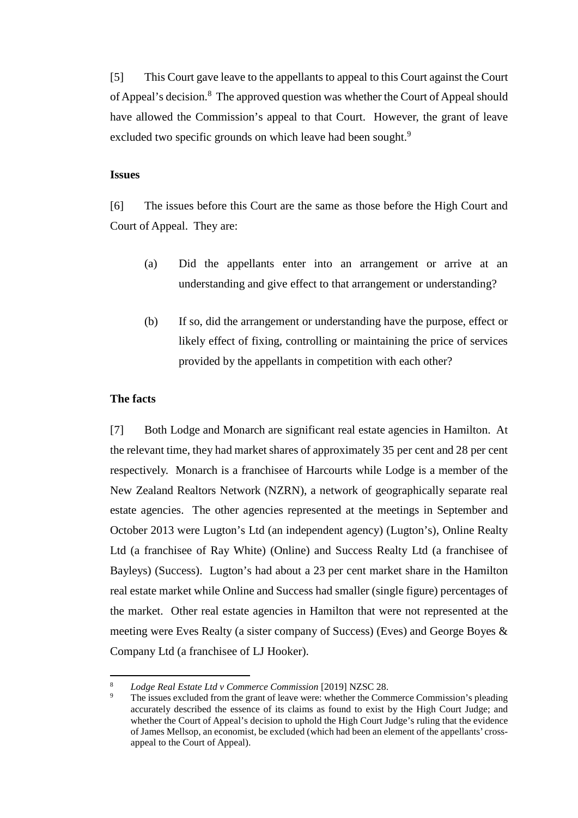[5] This Court gave leave to the appellants to appeal to this Court against the Court of Appeal's decision.<sup>8</sup> The approved question was whether the Court of Appeal should have allowed the Commission's appeal to that Court. However, the grant of leave excluded two specific grounds on which leave had been sought.<sup>9</sup>

#### **Issues**

<span id="page-3-0"></span>[6] The issues before this Court are the same as those before the High Court and Court of Appeal. They are:

- (a) Did the appellants enter into an arrangement or arrive at an understanding and give effect to that arrangement or understanding?
- (b) If so, did the arrangement or understanding have the purpose, effect or likely effect of fixing, controlling or maintaining the price of services provided by the appellants in competition with each other?

## **The facts**

<span id="page-3-1"></span>[7] Both Lodge and Monarch are significant real estate agencies in Hamilton. At the relevant time, they had market shares of approximately 35 per cent and 28 per cent respectively. Monarch is a franchisee of Harcourts while Lodge is a member of the New Zealand Realtors Network (NZRN), a network of geographically separate real estate agencies. The other agencies represented at the meetings in September and October 2013 were Lugton's Ltd (an independent agency) (Lugton's), Online Realty Ltd (a franchisee of Ray White) (Online) and Success Realty Ltd (a franchisee of Bayleys) (Success). Lugton's had about a 23 per cent market share in the Hamilton real estate market while Online and Success had smaller (single figure) percentages of the market. Other real estate agencies in Hamilton that were not represented at the meeting were Eves Realty (a sister company of Success) (Eves) and George Boyes & Company Ltd (a franchisee of LJ Hooker).

*Lodge Real Estate Ltd v Commerce Commission* [2019] NZSC 28.<br>The issues excluded from the grant of leave were: whether the Commerce Commission's pleading accurately described the essence of its claims as found to exist by the High Court Judge; and whether the Court of Appeal's decision to uphold the High Court Judge's ruling that the evidence of James Mellsop, an economist, be excluded (which had been an element of the appellants' crossappeal to the Court of Appeal).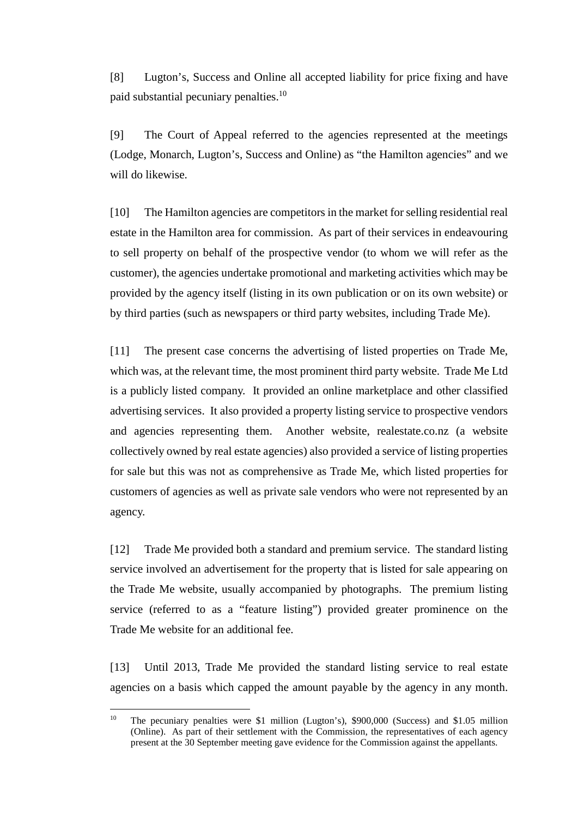[8] Lugton's, Success and Online all accepted liability for price fixing and have paid substantial pecuniary penalties.<sup>10</sup>

[9] The Court of Appeal referred to the agencies represented at the meetings (Lodge, Monarch, Lugton's, Success and Online) as "the Hamilton agencies" and we will do likewise.

[10] The Hamilton agencies are competitors in the market for selling residential real estate in the Hamilton area for commission. As part of their services in endeavouring to sell property on behalf of the prospective vendor (to whom we will refer as the customer), the agencies undertake promotional and marketing activities which may be provided by the agency itself (listing in its own publication or on its own website) or by third parties (such as newspapers or third party websites, including Trade Me).

[11] The present case concerns the advertising of listed properties on Trade Me, which was, at the relevant time, the most prominent third party website. Trade Me Ltd is a publicly listed company. It provided an online marketplace and other classified advertising services. It also provided a property listing service to prospective vendors and agencies representing them. Another website, realestate.co.nz (a website collectively owned by real estate agencies) also provided a service of listing properties for sale but this was not as comprehensive as Trade Me, which listed properties for customers of agencies as well as private sale vendors who were not represented by an agency.

[12] Trade Me provided both a standard and premium service. The standard listing service involved an advertisement for the property that is listed for sale appearing on the Trade Me website, usually accompanied by photographs. The premium listing service (referred to as a "feature listing") provided greater prominence on the Trade Me website for an additional fee.

[13] Until 2013, Trade Me provided the standard listing service to real estate agencies on a basis which capped the amount payable by the agency in any month.

<sup>&</sup>lt;sup>10</sup> The pecuniary penalties were \$1 million (Lugton's), \$900,000 (Success) and \$1.05 million (Online). As part of their settlement with the Commission, the representatives of each agency present at the 30 September meeting gave evidence for the Commission against the appellants.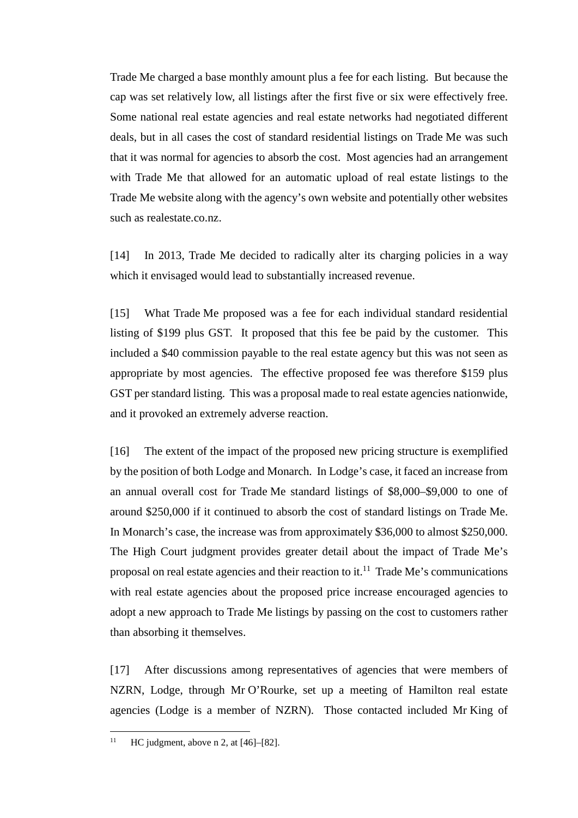Trade Me charged a base monthly amount plus a fee for each listing. But because the cap was set relatively low, all listings after the first five or six were effectively free. Some national real estate agencies and real estate networks had negotiated different deals, but in all cases the cost of standard residential listings on Trade Me was such that it was normal for agencies to absorb the cost. Most agencies had an arrangement with Trade Me that allowed for an automatic upload of real estate listings to the Trade Me website along with the agency's own website and potentially other websites such as realestate.co.nz.

[14] In 2013, Trade Me decided to radically alter its charging policies in a way which it envisaged would lead to substantially increased revenue.

[15] What Trade Me proposed was a fee for each individual standard residential listing of \$199 plus GST. It proposed that this fee be paid by the customer. This included a \$40 commission payable to the real estate agency but this was not seen as appropriate by most agencies. The effective proposed fee was therefore \$159 plus GST per standard listing. This was a proposal made to real estate agencies nationwide, and it provoked an extremely adverse reaction.

[16] The extent of the impact of the proposed new pricing structure is exemplified by the position of both Lodge and Monarch. In Lodge's case, it faced an increase from an annual overall cost for Trade Me standard listings of \$8,000–\$9,000 to one of around \$250,000 if it continued to absorb the cost of standard listings on Trade Me. In Monarch's case, the increase was from approximately \$36,000 to almost \$250,000. The High Court judgment provides greater detail about the impact of Trade Me's proposal on real estate agencies and their reaction to it.<sup>11</sup> Trade Me's communications with real estate agencies about the proposed price increase encouraged agencies to adopt a new approach to Trade Me listings by passing on the cost to customers rather than absorbing it themselves.

[17] After discussions among representatives of agencies that were members of NZRN, Lodge, through Mr O'Rourke, set up a meeting of Hamilton real estate agencies (Lodge is a member of NZRN). Those contacted included Mr King of

<sup>&</sup>lt;sup>11</sup> HC judgment, above [n 2,](#page-2-0) at  $[46]$ – $[82]$ .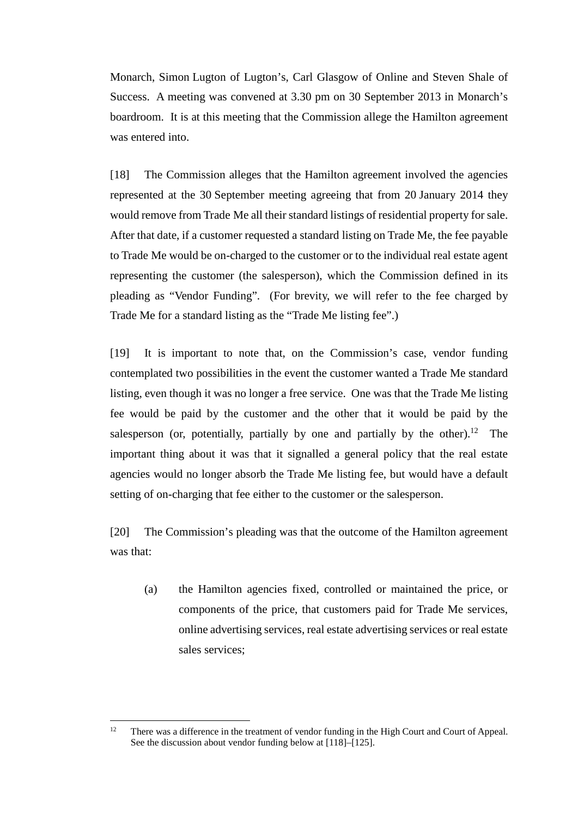Monarch, Simon Lugton of Lugton's, Carl Glasgow of Online and Steven Shale of Success. A meeting was convened at 3.30 pm on 30 September 2013 in Monarch's boardroom. It is at this meeting that the Commission allege the Hamilton agreement was entered into.

[18] The Commission alleges that the Hamilton agreement involved the agencies represented at the 30 September meeting agreeing that from 20 January 2014 they would remove from Trade Me all their standard listings of residential property for sale. After that date, if a customer requested a standard listing on Trade Me, the fee payable to Trade Me would be on-charged to the customer or to the individual real estate agent representing the customer (the salesperson), which the Commission defined in its pleading as "Vendor Funding". (For brevity, we will refer to the fee charged by Trade Me for a standard listing as the "Trade Me listing fee".)

<span id="page-6-0"></span>[19] It is important to note that, on the Commission's case, vendor funding contemplated two possibilities in the event the customer wanted a Trade Me standard listing, even though it was no longer a free service. One was that the Trade Me listing fee would be paid by the customer and the other that it would be paid by the salesperson (or, potentially, partially by one and partially by the other).<sup>12</sup> The important thing about it was that it signalled a general policy that the real estate agencies would no longer absorb the Trade Me listing fee, but would have a default setting of on-charging that fee either to the customer or the salesperson.

[20] The Commission's pleading was that the outcome of the Hamilton agreement was that:

(a) the Hamilton agencies fixed, controlled or maintained the price, or components of the price, that customers paid for Trade Me services, online advertising services, real estate advertising services or real estate sales services;

<sup>&</sup>lt;sup>12</sup> There was a difference in the treatment of vendor funding in the High Court and Court of Appeal. See the discussion about vendor funding below a[t \[118\]](#page-35-0)[–\[125\].](#page-37-1)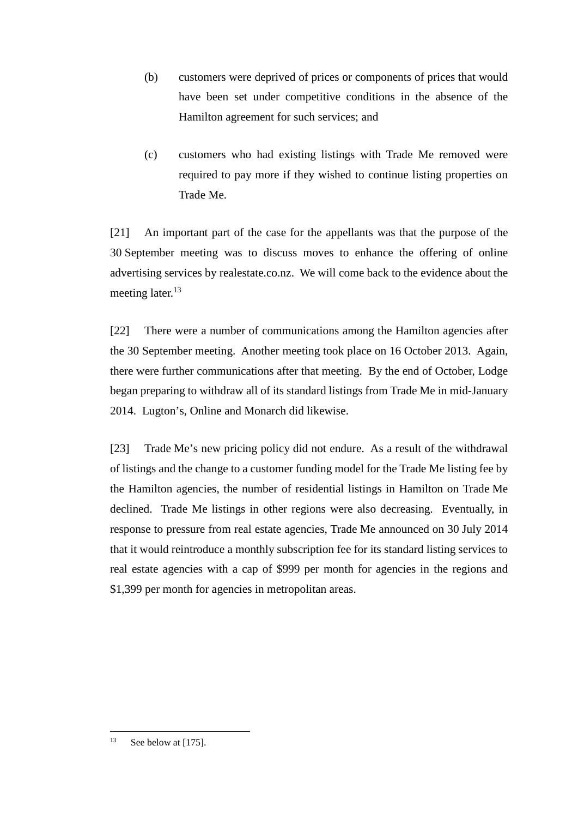- (b) customers were deprived of prices or components of prices that would have been set under competitive conditions in the absence of the Hamilton agreement for such services; and
- (c) customers who had existing listings with Trade Me removed were required to pay more if they wished to continue listing properties on Trade Me.

[21] An important part of the case for the appellants was that the purpose of the 30 September meeting was to discuss moves to enhance the offering of online advertising services by realestate.co.nz. We will come back to the evidence about the meeting later.<sup>13</sup>

[22] There were a number of communications among the Hamilton agencies after the 30 September meeting. Another meeting took place on 16 October 2013. Again, there were further communications after that meeting. By the end of October, Lodge began preparing to withdraw all of its standard listings from Trade Me in mid-January 2014. Lugton's, Online and Monarch did likewise.

[23] Trade Me's new pricing policy did not endure. As a result of the withdrawal of listings and the change to a customer funding model for the Trade Me listing fee by the Hamilton agencies, the number of residential listings in Hamilton on Trade Me declined. Trade Me listings in other regions were also decreasing. Eventually, in response to pressure from real estate agencies, Trade Me announced on 30 July 2014 that it would reintroduce a monthly subscription fee for its standard listing services to real estate agencies with a cap of \$999 per month for agencies in the regions and \$1,399 per month for agencies in metropolitan areas.

<sup>&</sup>lt;sup>13</sup> See below at [\[175\].](#page-52-0)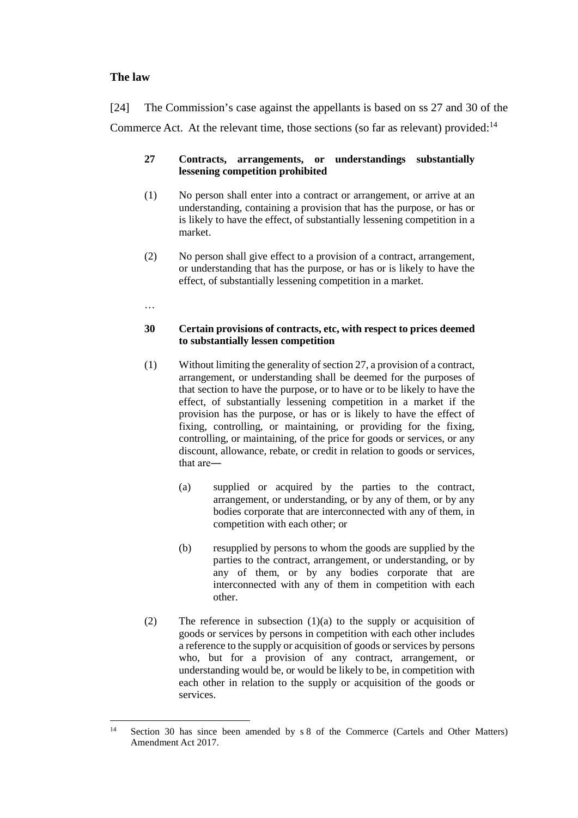# **The law**

<span id="page-8-0"></span>[24] The Commission's case against the appellants is based on ss 27 and 30 of the Commerce Act. At the relevant time, those sections (so far as relevant) provided:<sup>14</sup>

### **27 Contracts, arrangements, or understandings substantially lessening competition prohibited**

- (1) No person shall enter into a contract or arrangement, or arrive at an understanding, containing a provision that has the purpose, or has or is likely to have the effect, of substantially lessening competition in a market.
- (2) No person shall give effect to a provision of a contract, arrangement, or understanding that has the purpose, or has or is likely to have the effect, of substantially lessening competition in a market.

…

### **30 Certain provisions of contracts, etc, with respect to prices deemed to substantially lessen competition**

- (1) Without limiting the generality of section 27, a provision of a contract, arrangement, or understanding shall be deemed for the purposes of that section to have the purpose, or to have or to be likely to have the effect, of substantially lessening competition in a market if the provision has the purpose, or has or is likely to have the effect of fixing, controlling, or maintaining, or providing for the fixing, controlling, or maintaining, of the price for goods or services, or any discount, allowance, rebate, or credit in relation to goods or services, that are―
	- (a) supplied or acquired by the parties to the contract, arrangement, or understanding, or by any of them, or by any bodies corporate that are interconnected with any of them, in competition with each other; or
	- (b) resupplied by persons to whom the goods are supplied by the parties to the contract, arrangement, or understanding, or by any of them, or by any bodies corporate that are interconnected with any of them in competition with each other.
- (2) The reference in subsection (1)(a) to the supply or acquisition of goods or services by persons in competition with each other includes a reference to the supply or acquisition of goods or services by persons who, but for a provision of any contract, arrangement, or understanding would be, or would be likely to be, in competition with each other in relation to the supply or acquisition of the goods or services.

<sup>&</sup>lt;sup>14</sup> Section 30 has since been amended by s 8 of the Commerce (Cartels and Other Matters) Amendment Act 2017.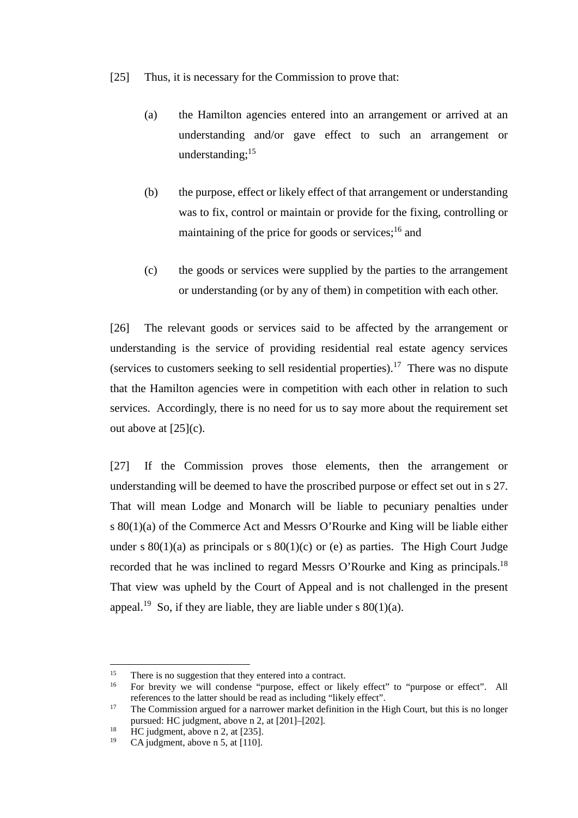- [25] Thus, it is necessary for the Commission to prove that:
	- (a) the Hamilton agencies entered into an arrangement or arrived at an understanding and/or gave effect to such an arrangement or understanding; $^{15}$
	- (b) the purpose, effect or likely effect of that arrangement or understanding was to fix, control or maintain or provide for the fixing, controlling or maintaining of the price for goods or services;<sup>16</sup> and
	- (c) the goods or services were supplied by the parties to the arrangement or understanding (or by any of them) in competition with each other.

<span id="page-9-0"></span>[26] The relevant goods or services said to be affected by the arrangement or understanding is the service of providing residential real estate agency services (services to customers seeking to sell residential properties).<sup>17</sup> There was no dispute that the Hamilton agencies were in competition with each other in relation to such services. Accordingly, there is no need for us to say more about the requirement set out above at  $[25](c)$ .

[27] If the Commission proves those elements, then the arrangement or understanding will be deemed to have the proscribed purpose or effect set out in s 27. That will mean Lodge and Monarch will be liable to pecuniary penalties under s 80(1)(a) of the Commerce Act and Messrs O'Rourke and King will be liable either under s  $80(1)(a)$  as principals or s  $80(1)(c)$  or (e) as parties. The High Court Judge recorded that he was inclined to regard Messrs O'Rourke and King as principals.<sup>18</sup> That view was upheld by the Court of Appeal and is not challenged in the present appeal.<sup>19</sup> So, if they are liable, they are liable under s  $80(1)(a)$ .

<sup>&</sup>lt;sup>15</sup> There is no suggestion that they entered into a contract.<br><sup>16</sup> Eq. brayity, we will condense "purpose effect or like

For brevity we will condense "purpose, effect or likely effect" to "purpose or effect". All references to the latter should be read as including "likely effect".

<sup>&</sup>lt;sup>17</sup> The Commission argued for a narrower market definition in the High Court, but this is no longer pursued: HC judgment, above [n 2,](#page-2-0) at [201]–[202].

<sup>&</sup>lt;sup>18</sup> HC judgment, above [n 2,](#page-2-0) at [235].

CA judgment, above n [5,](#page-2-1) at [110].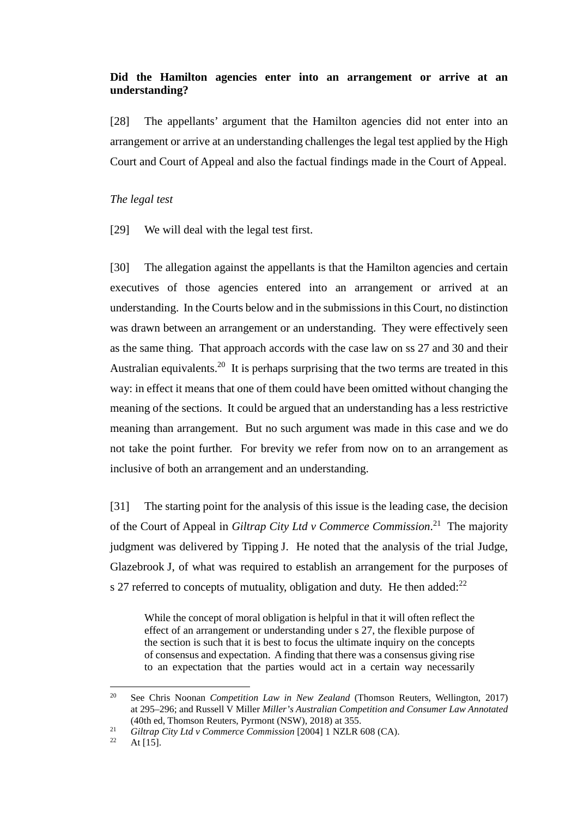# **Did the Hamilton agencies enter into an arrangement or arrive at an understanding?**

<span id="page-10-0"></span>[28] The appellants' argument that the Hamilton agencies did not enter into an arrangement or arrive at an understanding challenges the legal test applied by the High Court and Court of Appeal and also the factual findings made in the Court of Appeal.

### *The legal test*

<span id="page-10-1"></span>[29] We will deal with the legal test first.

<span id="page-10-2"></span>[30] The allegation against the appellants is that the Hamilton agencies and certain executives of those agencies entered into an arrangement or arrived at an understanding. In the Courts below and in the submissions in this Court, no distinction was drawn between an arrangement or an understanding. They were effectively seen as the same thing. That approach accords with the case law on ss 27 and 30 and their Australian equivalents.<sup>20</sup> It is perhaps surprising that the two terms are treated in this way: in effect it means that one of them could have been omitted without changing the meaning of the sections. It could be argued that an understanding has a less restrictive meaning than arrangement. But no such argument was made in this case and we do not take the point further. For brevity we refer from now on to an arrangement as inclusive of both an arrangement and an understanding.

[31] The starting point for the analysis of this issue is the leading case, the decision of the Court of Appeal in *Giltrap City Ltd v Commerce Commission*. 21 The majority judgment was delivered by Tipping J. He noted that the analysis of the trial Judge, Glazebrook J, of what was required to establish an arrangement for the purposes of s 27 referred to concepts of mutuality, obligation and duty. He then added: $^{22}$ 

<span id="page-10-3"></span>While the concept of moral obligation is helpful in that it will often reflect the effect of an arrangement or understanding under s 27, the flexible purpose of the section is such that it is best to focus the ultimate inquiry on the concepts of consensus and expectation. A finding that there was a consensus giving rise to an expectation that the parties would act in a certain way necessarily

 <sup>20</sup> See Chris Noonan *Competition Law in New Zealand* (Thomson Reuters, Wellington, 2017) at 295–296; and Russell V Miller *Miller's Australian Competition and Consumer Law Annotated*  (40th ed, Thomson Reuters, Pyrmont (NSW), 2018) at 355.

<sup>&</sup>lt;sup>21</sup> *Giltrap City Ltd v Commerce Commission* [2004] 1 NZLR 608 (CA).

At  $[15]$ .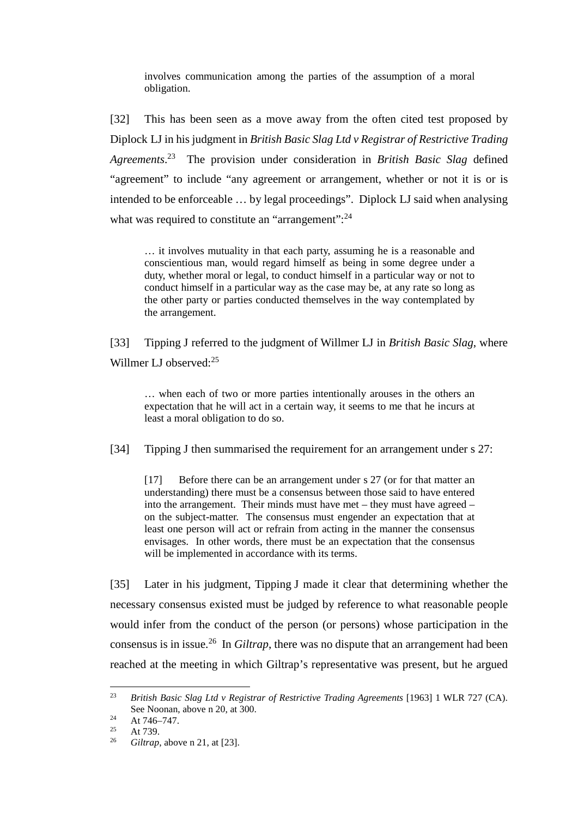involves communication among the parties of the assumption of a moral obligation.

[32] This has been seen as a move away from the often cited test proposed by Diplock LJ in his judgment in *British Basic Slag Ltd v Registrar of Restrictive Trading Agreements*. 23 The provision under consideration in *British Basic Slag* defined "agreement" to include "any agreement or arrangement, whether or not it is or is intended to be enforceable … by legal proceedings". Diplock LJ said when analysing what was required to constitute an "arrangement":<sup>24</sup>

… it involves mutuality in that each party, assuming he is a reasonable and conscientious man, would regard himself as being in some degree under a duty, whether moral or legal, to conduct himself in a particular way or not to conduct himself in a particular way as the case may be, at any rate so long as the other party or parties conducted themselves in the way contemplated by the arrangement.

<span id="page-11-0"></span>[33] Tipping J referred to the judgment of Willmer LJ in *British Basic Slag*, where Willmer LJ observed:<sup>25</sup>

… when each of two or more parties intentionally arouses in the others an expectation that he will act in a certain way, it seems to me that he incurs at least a moral obligation to do so.

[34] Tipping J then summarised the requirement for an arrangement under s 27:

[17] Before there can be an arrangement under s 27 (or for that matter an understanding) there must be a consensus between those said to have entered into the arrangement. Their minds must have met – they must have agreed – on the subject-matter. The consensus must engender an expectation that at least one person will act or refrain from acting in the manner the consensus envisages. In other words, there must be an expectation that the consensus will be implemented in accordance with its terms.

[35] Later in his judgment, Tipping J made it clear that determining whether the necessary consensus existed must be judged by reference to what reasonable people would infer from the conduct of the person (or persons) whose participation in the consensus is in issue.26 In *Giltrap*, there was no dispute that an arrangement had been reached at the meeting in which Giltrap's representative was present, but he argued

 <sup>23</sup> *British Basic Slag Ltd v Registrar of Restrictive Trading Agreements* [1963] 1 WLR 727 (CA). See Noonan, above n [20,](#page-10-2) at 300.

<sup>&</sup>lt;sup>24</sup> At 746–747.

 $25$  At 739.

<sup>26</sup> *Giltrap*, above n [21,](#page-10-3) at [23].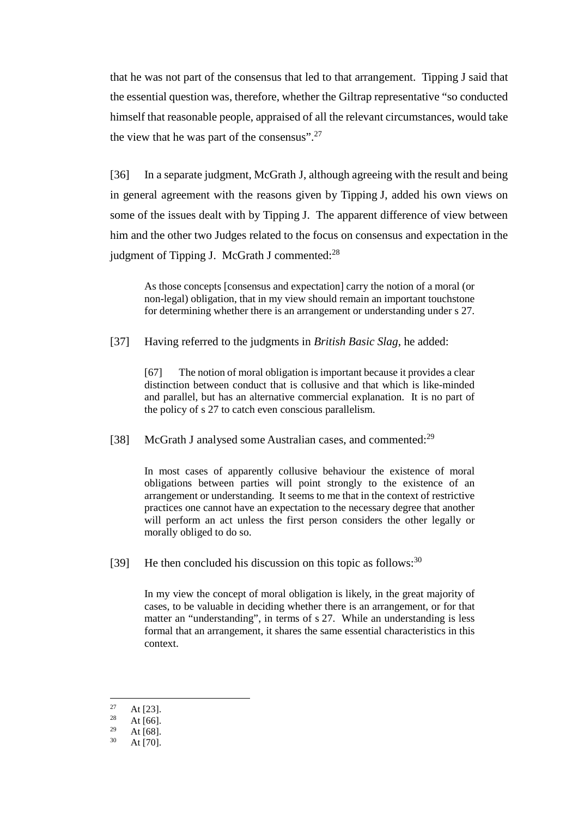that he was not part of the consensus that led to that arrangement. Tipping J said that the essential question was, therefore, whether the Giltrap representative "so conducted himself that reasonable people, appraised of all the relevant circumstances, would take the view that he was part of the consensus".<sup>27</sup>

[36] In a separate judgment, McGrath J, although agreeing with the result and being in general agreement with the reasons given by Tipping J, added his own views on some of the issues dealt with by Tipping J. The apparent difference of view between him and the other two Judges related to the focus on consensus and expectation in the judgment of Tipping J. McGrath J commented:<sup>28</sup>

As those concepts [consensus and expectation] carry the notion of a moral (or non-legal) obligation, that in my view should remain an important touchstone for determining whether there is an arrangement or understanding under s 27.

[37] Having referred to the judgments in *British Basic Slag*, he added:

[67] The notion of moral obligation is important because it provides a clear distinction between conduct that is collusive and that which is like-minded and parallel, but has an alternative commercial explanation. It is no part of the policy of s 27 to catch even conscious parallelism.

[38] McGrath J analysed some Australian cases, and commented:<sup>29</sup>

In most cases of apparently collusive behaviour the existence of moral obligations between parties will point strongly to the existence of an arrangement or understanding. It seems to me that in the context of restrictive practices one cannot have an expectation to the necessary degree that another will perform an act unless the first person considers the other legally or morally obliged to do so.

[39] He then concluded his discussion on this topic as follows:  $30^{\circ}$ 

In my view the concept of moral obligation is likely, in the great majority of cases, to be valuable in deciding whether there is an arrangement, or for that matter an "understanding", in terms of s 27. While an understanding is less formal that an arrangement, it shares the same essential characteristics in this context.

<sup>&</sup>lt;sup>27</sup> At [23].

 $\frac{28}{29}$  At [66].

<sup>&</sup>lt;sup>29</sup> At [68].

At  $[70]$ .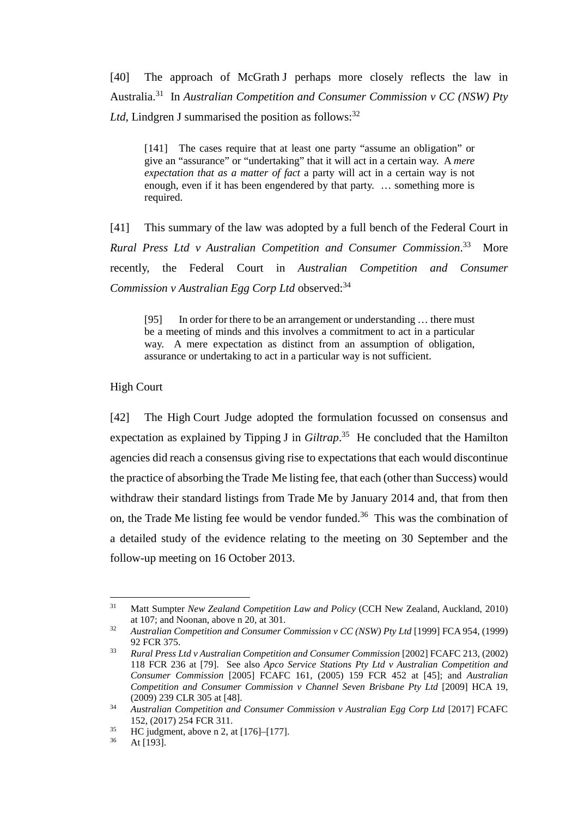<span id="page-13-2"></span><span id="page-13-1"></span>[40] The approach of McGrath J perhaps more closely reflects the law in Australia.31 In *Australian Competition and Consumer Commission v CC (NSW) Pty Ltd*, Lindgren J summarised the position as follows:  $32$ 

<span id="page-13-4"></span>[141] The cases require that at least one party "assume an obligation" or give an "assurance" or "undertaking" that it will act in a certain way. A *mere expectation that as a matter of fact* a party will act in a certain way is not enough, even if it has been engendered by that party. … something more is required.

<span id="page-13-3"></span>[41] This summary of the law was adopted by a full bench of the Federal Court in *Rural Press Ltd v Australian Competition and Consumer Commission*. **More** recently, the Federal Court in *Australian Competition and Consumer Commission v Australian Egg Corp Ltd* observed:<sup>34</sup>

[95] In order for there to be an arrangement or understanding ... there must be a meeting of minds and this involves a commitment to act in a particular way. A mere expectation as distinct from an assumption of obligation, assurance or undertaking to act in a particular way is not sufficient.

### High Court

<span id="page-13-0"></span>[42] The High Court Judge adopted the formulation focussed on consensus and expectation as explained by Tipping J in *Giltrap*. 35 He concluded that the Hamilton agencies did reach a consensus giving rise to expectations that each would discontinue the practice of absorbing the Trade Me listing fee, that each (other than Success) would withdraw their standard listings from Trade Me by January 2014 and, that from then on, the Trade Me listing fee would be vendor funded.<sup>36</sup> This was the combination of a detailed study of the evidence relating to the meeting on 30 September and the follow-up meeting on 16 October 2013.

 <sup>31</sup> Matt Sumpter *New Zealand Competition Law and Policy* (CCH New Zealand, Auckland, 2010) at 107; and Noonan, above n [20,](#page-10-2) at 301.

<sup>&</sup>lt;sup>32</sup> Australian Competition and Consumer Commission v CC (NSW) Pty Ltd [1999] FCA 954, (1999) 92 FCR 375.

<sup>33</sup> *Rural Press Ltd v Australian Competition and Consumer Commission* [2002] FCAFC 213, (2002) 118 FCR 236 at [79]. See also *Apco Service Stations Pty Ltd v Australian Competition and Consumer Commission* [2005] FCAFC 161, (2005) 159 FCR 452 at [45]; and *Australian Competition and Consumer Commission v Channel Seven Brisbane Pty Ltd* [2009] HCA 19, (2009) 239 CLR 305 at [48].

<sup>34</sup> *Australian Competition and Consumer Commission v Australian Egg Corp Ltd* [2017] FCAFC 152, (2017) 254 FCR 311.

 $^{35}$  HC judgment, above [n 2,](#page-2-0) at [176]–[177].<br> $^{36}$  At [103]

At [193].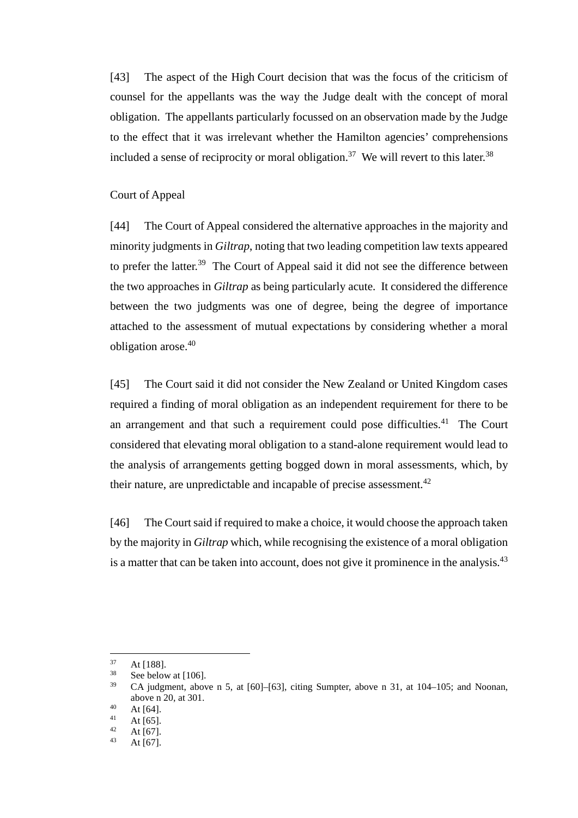<span id="page-14-1"></span>[43] The aspect of the High Court decision that was the focus of the criticism of counsel for the appellants was the way the Judge dealt with the concept of moral obligation. The appellants particularly focussed on an observation made by the Judge to the effect that it was irrelevant whether the Hamilton agencies' comprehensions included a sense of reciprocity or moral obligation.<sup>37</sup> We will revert to this later.<sup>38</sup>

#### Court of Appeal

<span id="page-14-0"></span>[44] The Court of Appeal considered the alternative approaches in the majority and minority judgments in *Giltrap*, noting that two leading competition law texts appeared to prefer the latter.<sup>39</sup> The Court of Appeal said it did not see the difference between the two approaches in *Giltrap* as being particularly acute. It considered the difference between the two judgments was one of degree, being the degree of importance attached to the assessment of mutual expectations by considering whether a moral obligation arose.<sup>40</sup>

[45] The Court said it did not consider the New Zealand or United Kingdom cases required a finding of moral obligation as an independent requirement for there to be an arrangement and that such a requirement could pose difficulties.<sup>41</sup> The Court considered that elevating moral obligation to a stand-alone requirement would lead to the analysis of arrangements getting bogged down in moral assessments, which, by their nature, are unpredictable and incapable of precise assessment.<sup>42</sup>

[46] The Court said if required to make a choice, it would choose the approach taken by the majority in *Giltrap* which, while recognising the existence of a moral obligation is a matter that can be taken into account, does not give it prominence in the analysis. $43$ 

 $37 \text{ At } [188].$ <br> $38 \text{ So that }$ 

 $rac{38}{39}$  See below at [\[106\].](#page-31-0)

CA judgment, above n [5,](#page-2-1) at  $[60]$ – $[63]$ , citing Sumpter, above n [31,](#page-13-1) at  $104$ – $105$ ; and Noonan, above [n 20,](#page-10-2) at 301.

 $40$  At [64].

<sup>&</sup>lt;sup>41</sup> At [65].

<sup>&</sup>lt;sup>42</sup> At [67].

At  $[67]$ .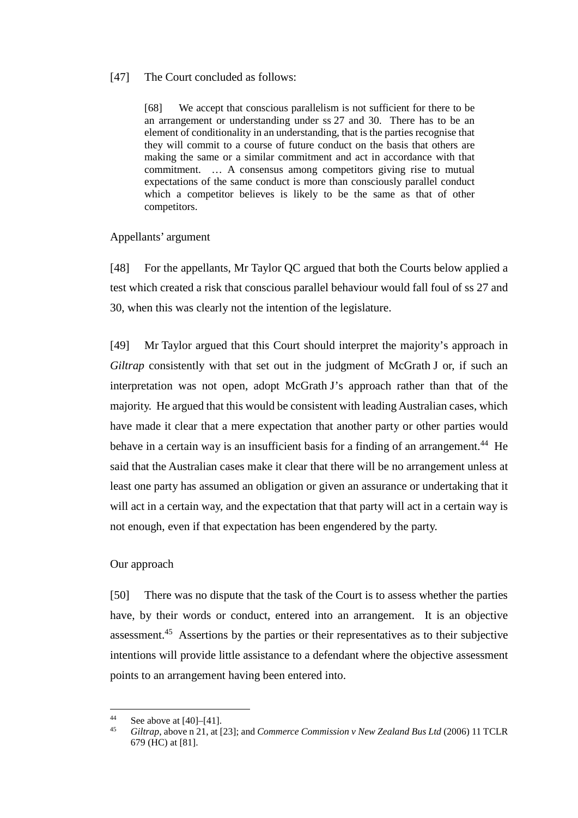### <span id="page-15-2"></span>[47] The Court concluded as follows:

[68] We accept that conscious parallelism is not sufficient for there to be an arrangement or understanding under ss 27 and 30. There has to be an element of conditionality in an understanding, that is the parties recognise that they will commit to a course of future conduct on the basis that others are making the same or a similar commitment and act in accordance with that commitment. … A consensus among competitors giving rise to mutual expectations of the same conduct is more than consciously parallel conduct which a competitor believes is likely to be the same as that of other competitors.

### Appellants' argument

<span id="page-15-0"></span>[48] For the appellants, Mr Taylor QC argued that both the Courts below applied a test which created a risk that conscious parallel behaviour would fall foul of ss 27 and 30, when this was clearly not the intention of the legislature.

[49] Mr Taylor argued that this Court should interpret the majority's approach in *Giltrap* consistently with that set out in the judgment of McGrath J or, if such an interpretation was not open, adopt McGrath J's approach rather than that of the majority. He argued that this would be consistent with leading Australian cases, which have made it clear that a mere expectation that another party or other parties would behave in a certain way is an insufficient basis for a finding of an arrangement.<sup>44</sup> He said that the Australian cases make it clear that there will be no arrangement unless at least one party has assumed an obligation or given an assurance or undertaking that it will act in a certain way, and the expectation that that party will act in a certain way is not enough, even if that expectation has been engendered by the party.

### Our approach

<span id="page-15-1"></span>[50] There was no dispute that the task of the Court is to assess whether the parties have, by their words or conduct, entered into an arrangement. It is an objective assessment.45 Assertions by the parties or their representatives as to their subjective intentions will provide little assistance to a defendant where the objective assessment points to an arrangement having been entered into.

<sup>&</sup>lt;sup>44</sup> See above at  $[40]$ – $[41]$ .

<sup>45</sup> *Giltrap*, above n [21,](#page-10-3) at [23]; and *Commerce Commission v New Zealand Bus Ltd* (2006) 11 TCLR 679 (HC) at [81].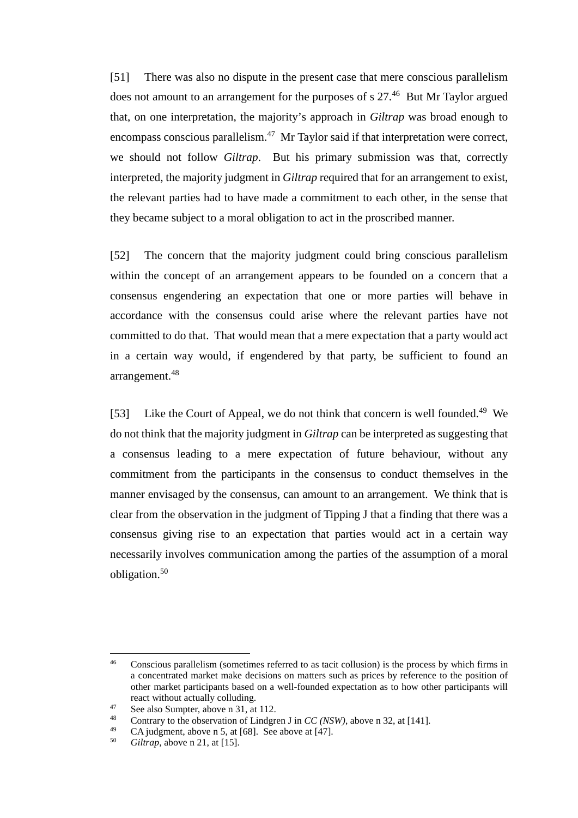[51] There was also no dispute in the present case that mere conscious parallelism does not amount to an arrangement for the purposes of s  $27<sup>46</sup>$  But Mr Taylor argued that, on one interpretation, the majority's approach in *Giltrap* was broad enough to encompass conscious parallelism.<sup>47</sup> Mr Taylor said if that interpretation were correct, we should not follow *Giltrap*. But his primary submission was that, correctly interpreted, the majority judgment in *Giltrap* required that for an arrangement to exist, the relevant parties had to have made a commitment to each other, in the sense that they became subject to a moral obligation to act in the proscribed manner.

[52] The concern that the majority judgment could bring conscious parallelism within the concept of an arrangement appears to be founded on a concern that a consensus engendering an expectation that one or more parties will behave in accordance with the consensus could arise where the relevant parties have not committed to do that. That would mean that a mere expectation that a party would act in a certain way would, if engendered by that party, be sufficient to found an arrangement.48

[53] Like the Court of Appeal, we do not think that concern is well founded.<sup>49</sup> We do not think that the majority judgment in *Giltrap* can be interpreted as suggesting that a consensus leading to a mere expectation of future behaviour, without any commitment from the participants in the consensus to conduct themselves in the manner envisaged by the consensus, can amount to an arrangement. We think that is clear from the observation in the judgment of Tipping J that a finding that there was a consensus giving rise to an expectation that parties would act in a certain way necessarily involves communication among the parties of the assumption of a moral obligation.50

 <sup>46</sup> Conscious parallelism (sometimes referred to as tacit collusion) is the process by which firms in a concentrated market make decisions on matters such as prices by reference to the position of other market participants based on a well-founded expectation as to how other participants will

react without actually colluding.<br>
<sup>47</sup> See also Sumpter, above [n 31,](#page-13-1) at 112.<br>
<sup>48</sup> Contrary to the observation of Lindgren J in *CC (NSW)*, above n [32,](#page-13-4) at [141].<br>
<sup>49</sup> CA indemnation a 5 of [69]. See above at [47]

<sup>49</sup> CA judgment, above n [5,](#page-2-1) at [68]. See above at [\[47\].](#page-15-2)

*Giltrap*, above n [21,](#page-10-3) at [15].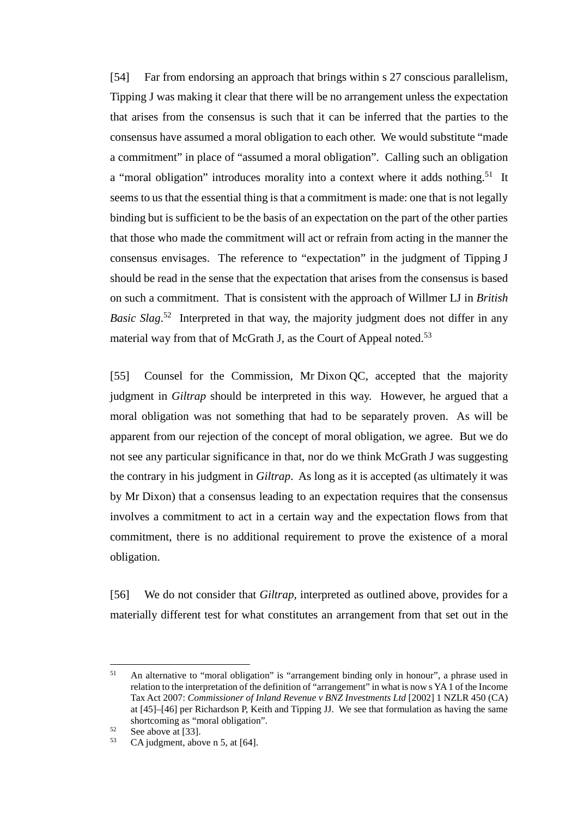[54] Far from endorsing an approach that brings within s 27 conscious parallelism, Tipping J was making it clear that there will be no arrangement unless the expectation that arises from the consensus is such that it can be inferred that the parties to the consensus have assumed a moral obligation to each other. We would substitute "made a commitment" in place of "assumed a moral obligation". Calling such an obligation a "moral obligation" introduces morality into a context where it adds nothing.<sup>51</sup> It seems to us that the essential thing is that a commitment is made: one that is not legally binding but is sufficient to be the basis of an expectation on the part of the other parties that those who made the commitment will act or refrain from acting in the manner the consensus envisages. The reference to "expectation" in the judgment of Tipping J should be read in the sense that the expectation that arises from the consensus is based on such a commitment. That is consistent with the approach of Willmer LJ in *British*  Basic Slag.<sup>52</sup> Interpreted in that way, the majority judgment does not differ in any material way from that of McGrath J, as the Court of Appeal noted.<sup>53</sup>

[55] Counsel for the Commission, Mr Dixon QC, accepted that the majority judgment in *Giltrap* should be interpreted in this way. However, he argued that a moral obligation was not something that had to be separately proven. As will be apparent from our rejection of the concept of moral obligation, we agree. But we do not see any particular significance in that, nor do we think McGrath J was suggesting the contrary in his judgment in *Giltrap*. As long as it is accepted (as ultimately it was by Mr Dixon) that a consensus leading to an expectation requires that the consensus involves a commitment to act in a certain way and the expectation flows from that commitment, there is no additional requirement to prove the existence of a moral obligation.

[56] We do not consider that *Giltrap*, interpreted as outlined above, provides for a materially different test for what constitutes an arrangement from that set out in the

<sup>&</sup>lt;sup>51</sup> An alternative to "moral obligation" is "arrangement binding only in honour", a phrase used in relation to the interpretation of the definition of "arrangement" in what is now s YA1 of the Income Tax Act 2007: *Commissioner of Inland Revenue v BNZ Investments Ltd* [2002] 1 NZLR 450 (CA) at [45]–[46] per Richardson P, Keith and Tipping JJ. We see that formulation as having the same shortcoming as "moral obligation".

 $52$  See above a[t \[33\].](#page-11-0)

CA judgment, above n [5,](#page-2-1) at [64].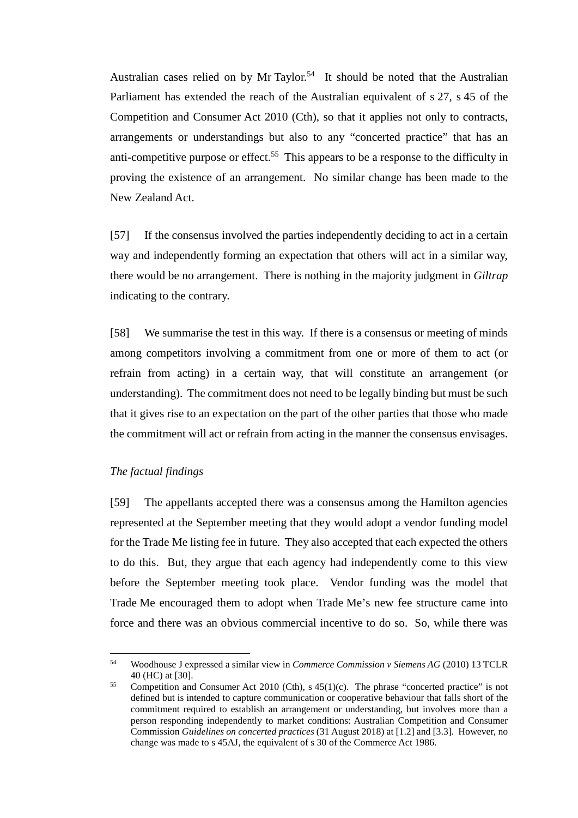Australian cases relied on by Mr Taylor.<sup>54</sup> It should be noted that the Australian Parliament has extended the reach of the Australian equivalent of s 27, s 45 of the Competition and Consumer Act 2010 (Cth), so that it applies not only to contracts, arrangements or understandings but also to any "concerted practice" that has an anti-competitive purpose or effect.<sup>55</sup> This appears to be a response to the difficulty in proving the existence of an arrangement. No similar change has been made to the New Zealand Act.

[57] If the consensus involved the parties independently deciding to act in a certain way and independently forming an expectation that others will act in a similar way, there would be no arrangement. There is nothing in the majority judgment in *Giltrap*  indicating to the contrary.

[58] We summarise the test in this way. If there is a consensus or meeting of minds among competitors involving a commitment from one or more of them to act (or refrain from acting) in a certain way, that will constitute an arrangement (or understanding). The commitment does not need to be legally binding but must be such that it gives rise to an expectation on the part of the other parties that those who made the commitment will act or refrain from acting in the manner the consensus envisages.

## *The factual findings*

<span id="page-18-0"></span>[59] The appellants accepted there was a consensus among the Hamilton agencies represented at the September meeting that they would adopt a vendor funding model for the Trade Me listing fee in future. They also accepted that each expected the others to do this. But, they argue that each agency had independently come to this view before the September meeting took place. Vendor funding was the model that Trade Me encouraged them to adopt when Trade Me's new fee structure came into force and there was an obvious commercial incentive to do so. So, while there was

 <sup>54</sup> Woodhouse J expressed a similar view in *Commerce Commission v Siemens AG* (2010) 13 TCLR 40 (HC) at [30].

<sup>&</sup>lt;sup>55</sup> Competition and Consumer Act 2010 (Cth), s  $45(1)(c)$ . The phrase "concerted practice" is not defined but is intended to capture communication or cooperative behaviour that falls short of the commitment required to establish an arrangement or understanding, but involves more than a person responding independently to market conditions: Australian Competition and Consumer Commission *Guidelines on concerted practices* (31 August 2018) at [1.2] and [3.3]. However, no change was made to s 45AJ, the equivalent of s 30 of the Commerce Act 1986.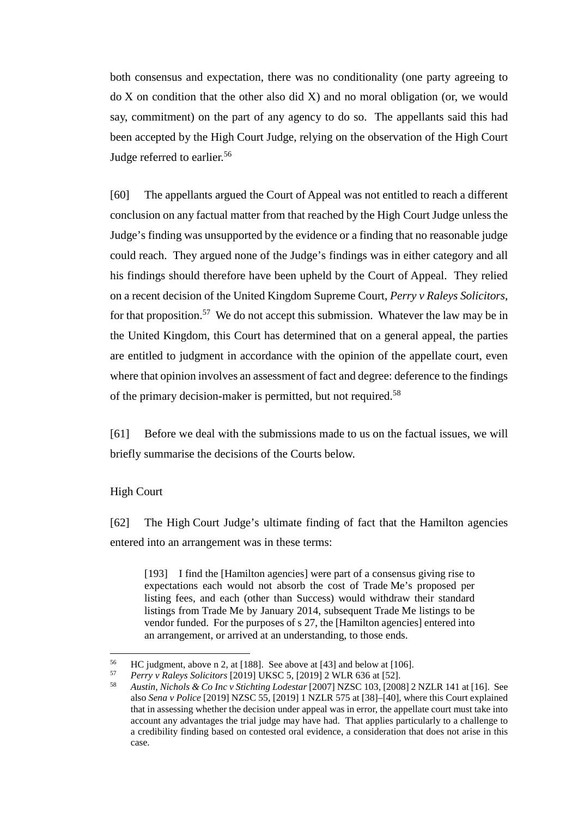both consensus and expectation, there was no conditionality (one party agreeing to do X on condition that the other also did X) and no moral obligation (or, we would say, commitment) on the part of any agency to do so. The appellants said this had been accepted by the High Court Judge, relying on the observation of the High Court Judge referred to earlier.<sup>56</sup>

<span id="page-19-1"></span>[60] The appellants argued the Court of Appeal was not entitled to reach a different conclusion on any factual matter from that reached by the High Court Judge unless the Judge's finding was unsupported by the evidence or a finding that no reasonable judge could reach. They argued none of the Judge's findings was in either category and all his findings should therefore have been upheld by the Court of Appeal. They relied on a recent decision of the United Kingdom Supreme Court, *Perry v Raleys Solicitors*, for that proposition.<sup>57</sup> We do not accept this submission. Whatever the law may be in the United Kingdom, this Court has determined that on a general appeal, the parties are entitled to judgment in accordance with the opinion of the appellate court, even where that opinion involves an assessment of fact and degree: deference to the findings of the primary decision-maker is permitted, but not required.<sup>58</sup>

[61] Before we deal with the submissions made to us on the factual issues, we will briefly summarise the decisions of the Courts below.

#### High Court

<span id="page-19-0"></span>[62] The High Court Judge's ultimate finding of fact that the Hamilton agencies entered into an arrangement was in these terms:

[193] I find the [Hamilton agencies] were part of a consensus giving rise to expectations each would not absorb the cost of Trade Me's proposed per listing fees, and each (other than Success) would withdraw their standard listings from Trade Me by January 2014, subsequent Trade Me listings to be vendor funded. For the purposes of s 27, the [Hamilton agencies] entered into an arrangement, or arrived at an understanding, to those ends.

<sup>56</sup> HC judgment, [a](#page-14-1)bove n 2, at [188]. See above at [43] and below at [\[106\].](#page-31-0)<br>57 *Perry v Raleys Solicitors* [2019] UKSC 5, [2019] 2 WLR 636 at [52].<br>58 *Austin Nichols & Co Inc.y Stichting Lodestar* [2007] NZSC 103, [2008] 2

<sup>58</sup> *Austin, Nichols & Co Inc v Stichting Lodestar* [2007] NZSC 103, [2008] 2 NZLR 141 at [16]. See also *Sena v Police* [2019] NZSC 55, [2019] 1 NZLR 575 at [38]–[40], where this Court explained that in assessing whether the decision under appeal was in error, the appellate court must take into account any advantages the trial judge may have had. That applies particularly to a challenge to a credibility finding based on contested oral evidence, a consideration that does not arise in this case.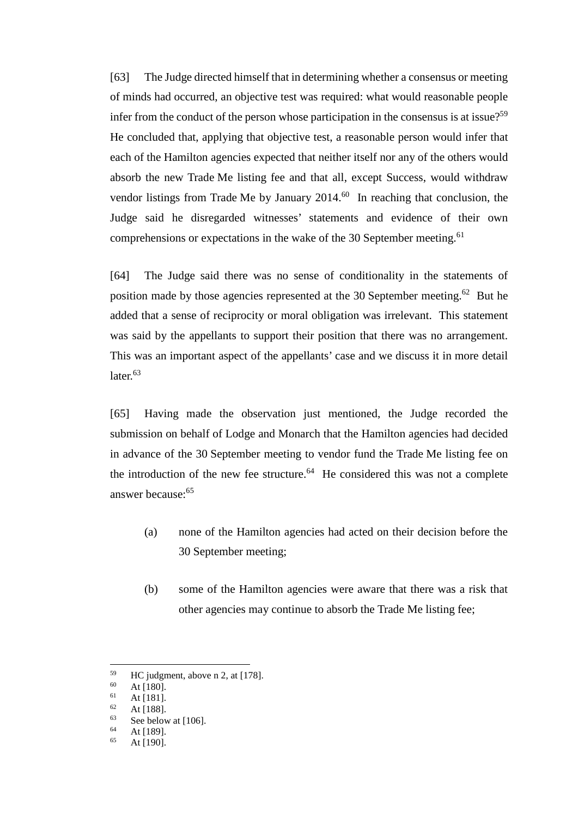[63] The Judge directed himself that in determining whether a consensus or meeting of minds had occurred, an objective test was required: what would reasonable people infer from the conduct of the person whose participation in the consensus is at issue?<sup>59</sup> He concluded that, applying that objective test, a reasonable person would infer that each of the Hamilton agencies expected that neither itself nor any of the others would absorb the new Trade Me listing fee and that all, except Success, would withdraw vendor listings from Trade Me by January  $2014<sup>60</sup>$  In reaching that conclusion, the Judge said he disregarded witnesses' statements and evidence of their own comprehensions or expectations in the wake of the 30 September meeting.<sup>61</sup>

[64] The Judge said there was no sense of conditionality in the statements of position made by those agencies represented at the 30 September meeting.<sup>62</sup> But he added that a sense of reciprocity or moral obligation was irrelevant. This statement was said by the appellants to support their position that there was no arrangement. This was an important aspect of the appellants' case and we discuss it in more detail later.<sup>63</sup>

<span id="page-20-0"></span>[65] Having made the observation just mentioned, the Judge recorded the submission on behalf of Lodge and Monarch that the Hamilton agencies had decided in advance of the 30 September meeting to vendor fund the Trade Me listing fee on the introduction of the new fee structure. $64$  He considered this was not a complete answer because:<sup>65</sup>

- (a) none of the Hamilton agencies had acted on their decision before the 30 September meeting;
- (b) some of the Hamilton agencies were aware that there was a risk that other agencies may continue to absorb the Trade Me listing fee;

 $^{59}$  HC judgment, above [n 2,](#page-2-0) at [178].<br>  $^{60}$  At [180]

 $\frac{60}{61}$  At [180].

 $\frac{61}{62}$  At [181].

 $\frac{62}{63}$  At [188].

 $\frac{63}{64}$  See below at [\[106\].](#page-31-0)

 $64$  At [189].

At [190].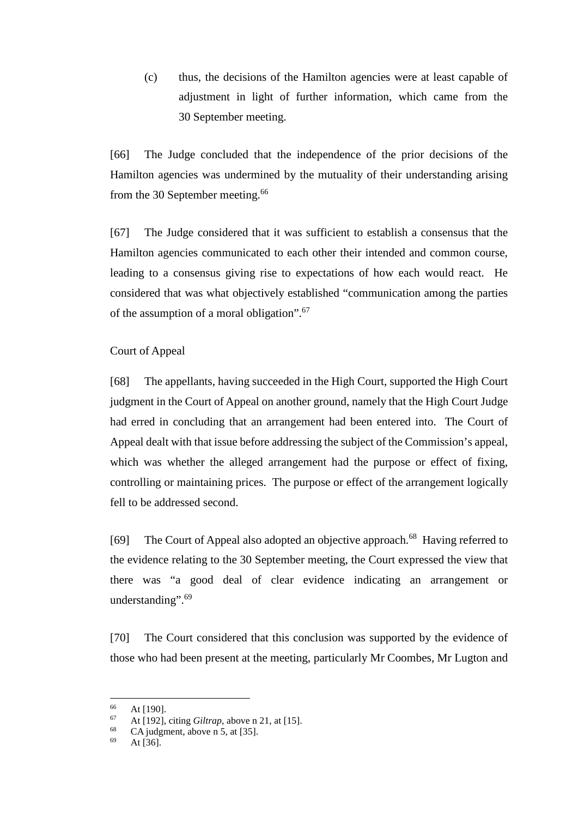(c) thus, the decisions of the Hamilton agencies were at least capable of adjustment in light of further information, which came from the 30 September meeting.

[66] The Judge concluded that the independence of the prior decisions of the Hamilton agencies was undermined by the mutuality of their understanding arising from the 30 September meeting.<sup>66</sup>

[67] The Judge considered that it was sufficient to establish a consensus that the Hamilton agencies communicated to each other their intended and common course, leading to a consensus giving rise to expectations of how each would react. He considered that was what objectively established "communication among the parties of the assumption of a moral obligation".<sup>67</sup>

# Court of Appeal

<span id="page-21-0"></span>[68] The appellants, having succeeded in the High Court, supported the High Court judgment in the Court of Appeal on another ground, namely that the High Court Judge had erred in concluding that an arrangement had been entered into. The Court of Appeal dealt with that issue before addressing the subject of the Commission's appeal, which was whether the alleged arrangement had the purpose or effect of fixing, controlling or maintaining prices. The purpose or effect of the arrangement logically fell to be addressed second.

[69] The Court of Appeal also adopted an objective approach.<sup>68</sup> Having referred to the evidence relating to the 30 September meeting, the Court expressed the view that there was "a good deal of clear evidence indicating an arrangement or understanding".<sup>69</sup>

[70] The Court considered that this conclusion was supported by the evidence of those who had been present at the meeting, particularly Mr Coombes, Mr Lugton and

 $\frac{66}{67}$  At [190].

 $^{67}$  At [192], citing *Giltrap*, above n [21,](#page-10-3) at [15].

<sup>&</sup>lt;sup>68</sup> CA judgment, above n [5,](#page-2-1) at [35].

At  $[36]$ .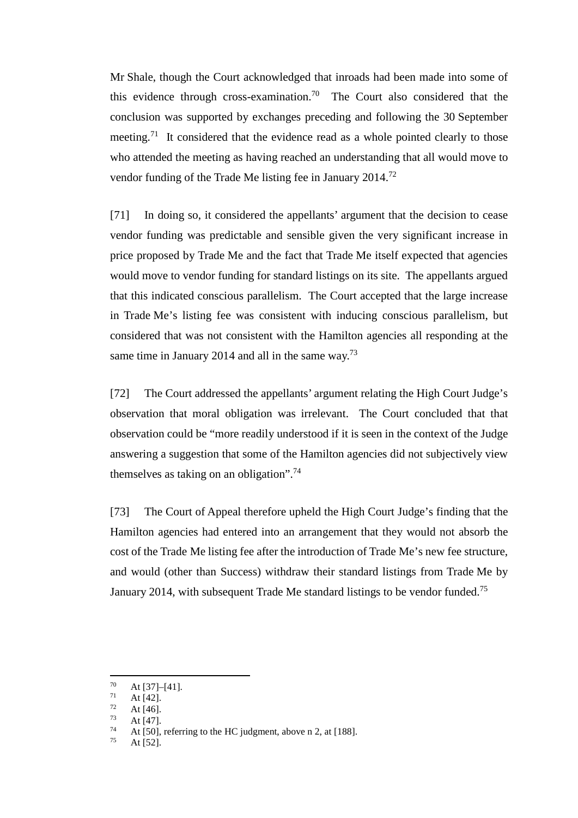Mr Shale, though the Court acknowledged that inroads had been made into some of this evidence through cross-examination.<sup>70</sup> The Court also considered that the conclusion was supported by exchanges preceding and following the 30 September meeting.<sup>71</sup> It considered that the evidence read as a whole pointed clearly to those who attended the meeting as having reached an understanding that all would move to vendor funding of the Trade Me listing fee in January 2014.<sup>72</sup>

[71] In doing so, it considered the appellants' argument that the decision to cease vendor funding was predictable and sensible given the very significant increase in price proposed by Trade Me and the fact that Trade Me itself expected that agencies would move to vendor funding for standard listings on its site. The appellants argued that this indicated conscious parallelism. The Court accepted that the large increase in Trade Me's listing fee was consistent with inducing conscious parallelism, but considered that was not consistent with the Hamilton agencies all responding at the same time in January 2014 and all in the same way.<sup>73</sup>

[72] The Court addressed the appellants' argument relating the High Court Judge's observation that moral obligation was irrelevant. The Court concluded that that observation could be "more readily understood if it is seen in the context of the Judge answering a suggestion that some of the Hamilton agencies did not subjectively view themselves as taking on an obligation".<sup>74</sup>

[73] The Court of Appeal therefore upheld the High Court Judge's finding that the Hamilton agencies had entered into an arrangement that they would not absorb the cost of the Trade Me listing fee after the introduction of Trade Me's new fee structure, and would (other than Success) withdraw their standard listings from Trade Me by January 2014, with subsequent Trade Me standard listings to be vendor funded.<sup>75</sup>

 $\frac{70}{71}$  At [37]–[41].

 $\frac{71}{72}$  At [42].

 $\frac{72}{73}$  At [46].

 $\frac{73}{74}$  At [47].

<sup>&</sup>lt;sup>74</sup> At [50], referring to the HC judgment, above n [2,](#page-2-0) at [188].

At  $[52]$ .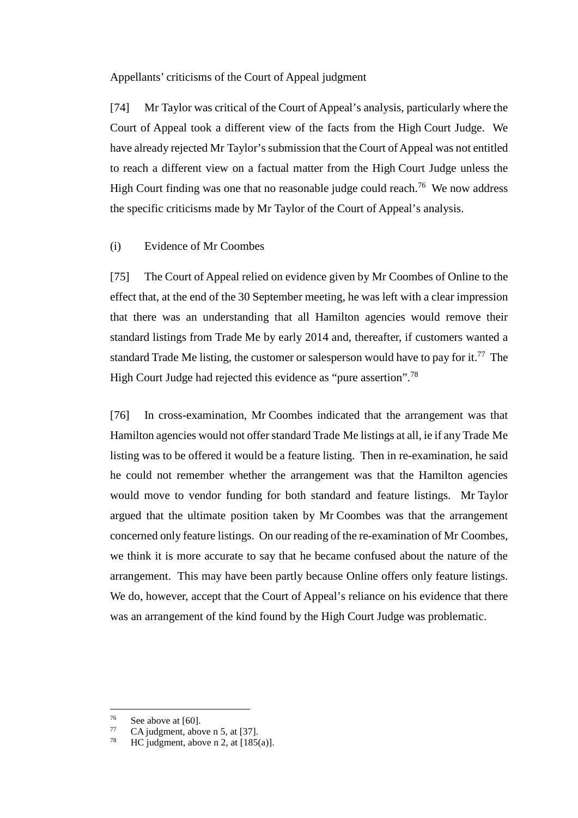Appellants' criticisms of the Court of Appeal judgment

<span id="page-23-0"></span>[74] Mr Taylor was critical of the Court of Appeal's analysis, particularly where the Court of Appeal took a different view of the facts from the High Court Judge. We have already rejected Mr Taylor's submission that the Court of Appeal was not entitled to reach a different view on a factual matter from the High Court Judge unless the High Court finding was one that no reasonable judge could reach.<sup>76</sup> We now address the specific criticisms made by Mr Taylor of the Court of Appeal's analysis.

### (i) Evidence of Mr Coombes

[75] The Court of Appeal relied on evidence given by Mr Coombes of Online to the effect that, at the end of the 30 September meeting, he was left with a clear impression that there was an understanding that all Hamilton agencies would remove their standard listings from Trade Me by early 2014 and, thereafter, if customers wanted a standard Trade Me listing, the customer or salesperson would have to pay for it.<sup>77</sup> The High Court Judge had rejected this evidence as "pure assertion".<sup>78</sup>

<span id="page-23-1"></span>[76] In cross-examination, Mr Coombes indicated that the arrangement was that Hamilton agencies would not offer standard Trade Me listings at all, ie if any Trade Me listing was to be offered it would be a feature listing. Then in re-examination, he said he could not remember whether the arrangement was that the Hamilton agencies would move to vendor funding for both standard and feature listings. Mr Taylor argued that the ultimate position taken by Mr Coombes was that the arrangement concerned only feature listings. On our reading of the re-examination of Mr Coombes, we think it is more accurate to say that he became confused about the nature of the arrangement. This may have been partly because Online offers only feature listings. We do, however, accept that the Court of Appeal's reliance on his evidence that there was an arrangement of the kind found by the High Court Judge was problematic.

 $^{76}$  See above a[t \[60\].](#page-19-1)

 $\frac{77}{78}$  CA judgment, above n [5,](#page-2-1) at [37].

 $HC$  judgment, above [n 2,](#page-2-0) at  $[185(a)]$ .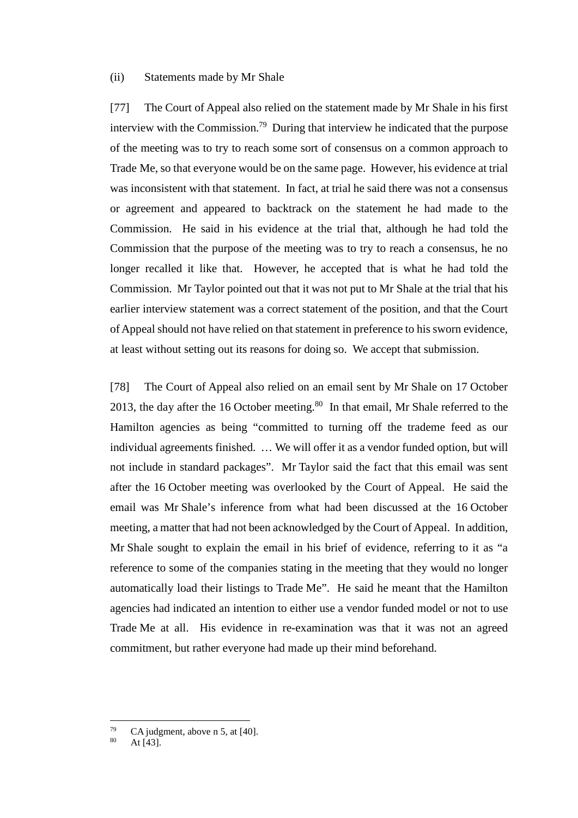#### (ii) Statements made by Mr Shale

<span id="page-24-1"></span>[77] The Court of Appeal also relied on the statement made by Mr Shale in his first interview with the Commission.<sup>79</sup> During that interview he indicated that the purpose of the meeting was to try to reach some sort of consensus on a common approach to Trade Me, so that everyone would be on the same page. However, his evidence at trial was inconsistent with that statement. In fact, at trial he said there was not a consensus or agreement and appeared to backtrack on the statement he had made to the Commission. He said in his evidence at the trial that, although he had told the Commission that the purpose of the meeting was to try to reach a consensus, he no longer recalled it like that. However, he accepted that is what he had told the Commission. Mr Taylor pointed out that it was not put to Mr Shale at the trial that his earlier interview statement was a correct statement of the position, and that the Court of Appeal should not have relied on that statement in preference to his sworn evidence, at least without setting out its reasons for doing so. We accept that submission.

<span id="page-24-0"></span>[78] The Court of Appeal also relied on an email sent by Mr Shale on 17 October 2013, the day after the 16 October meeting.<sup>80</sup> In that email, Mr Shale referred to the Hamilton agencies as being "committed to turning off the trademe feed as our individual agreements finished. … We will offer it as a vendor funded option, but will not include in standard packages". Mr Taylor said the fact that this email was sent after the 16 October meeting was overlooked by the Court of Appeal. He said the email was Mr Shale's inference from what had been discussed at the 16 October meeting, a matter that had not been acknowledged by the Court of Appeal. In addition, Mr Shale sought to explain the email in his brief of evidence, referring to it as "a reference to some of the companies stating in the meeting that they would no longer automatically load their listings to Trade Me". He said he meant that the Hamilton agencies had indicated an intention to either use a vendor funded model or not to use Trade Me at all. His evidence in re-examination was that it was not an agreed commitment, but rather everyone had made up their mind beforehand.

 $79$  CA judgment, above n [5,](#page-2-1) at [40].

At  $[43]$ .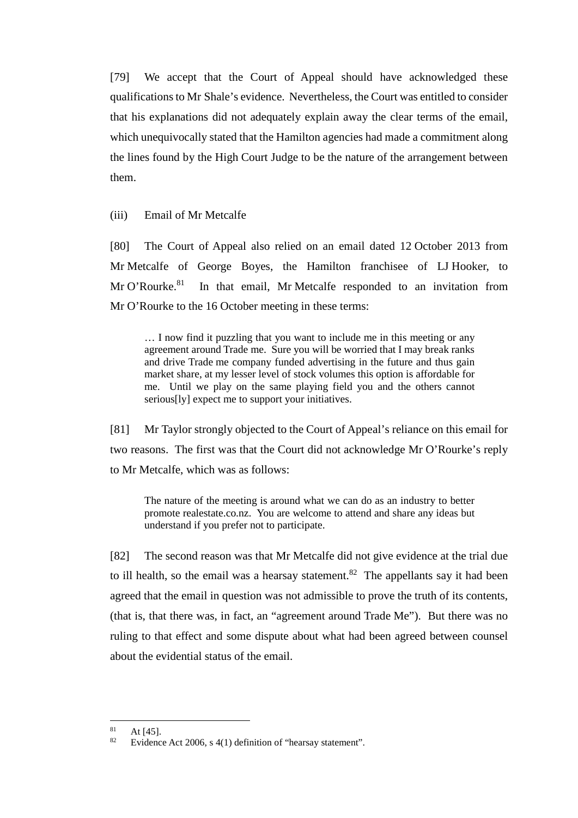[79] We accept that the Court of Appeal should have acknowledged these qualifications to Mr Shale's evidence. Nevertheless, the Court was entitled to consider that his explanations did not adequately explain away the clear terms of the email, which unequivocally stated that the Hamilton agencies had made a commitment along the lines found by the High Court Judge to be the nature of the arrangement between them.

(iii) Email of Mr Metcalfe

[80] The Court of Appeal also relied on an email dated 12 October 2013 from Mr Metcalfe of George Boyes, the Hamilton franchisee of LJ Hooker, to Mr O'Rourke.<sup>81</sup> In that email, Mr Metcalfe responded to an invitation from Mr O'Rourke to the 16 October meeting in these terms:

… I now find it puzzling that you want to include me in this meeting or any agreement around Trade me. Sure you will be worried that I may break ranks and drive Trade me company funded advertising in the future and thus gain market share, at my lesser level of stock volumes this option is affordable for me. Until we play on the same playing field you and the others cannot serious[ly] expect me to support your initiatives.

[81] Mr Taylor strongly objected to the Court of Appeal's reliance on this email for two reasons. The first was that the Court did not acknowledge Mr O'Rourke's reply to Mr Metcalfe, which was as follows:

The nature of the meeting is around what we can do as an industry to better promote realestate.co.nz. You are welcome to attend and share any ideas but understand if you prefer not to participate.

[82] The second reason was that Mr Metcalfe did not give evidence at the trial due to ill health, so the email was a hearsay statement.<sup>82</sup> The appellants say it had been agreed that the email in question was not admissible to prove the truth of its contents, (that is, that there was, in fact, an "agreement around Trade Me"). But there was no ruling to that effect and some dispute about what had been agreed between counsel about the evidential status of the email.

 $81 \text{ At } [45].$ <br> $82 \text{ Evidone}$ 

Evidence Act 2006, s 4(1) definition of "hearsay statement".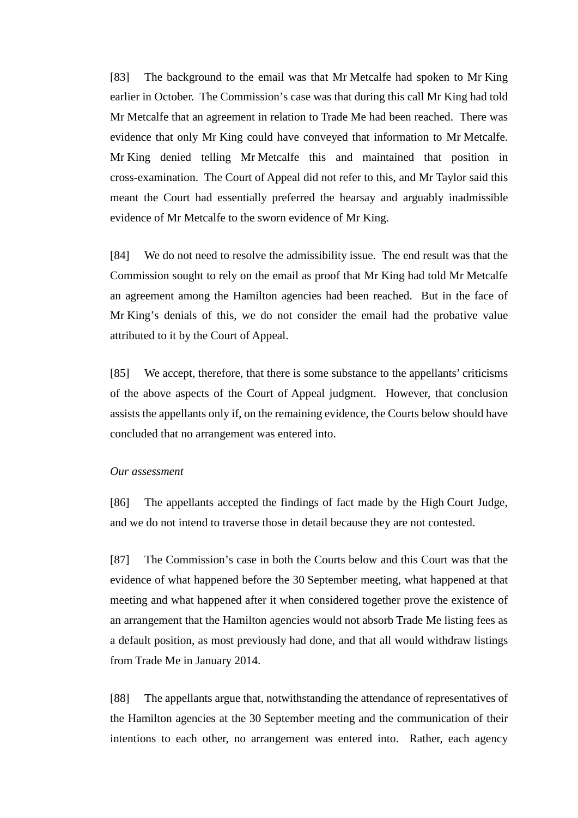[83] The background to the email was that Mr Metcalfe had spoken to Mr King earlier in October. The Commission's case was that during this call Mr King had told Mr Metcalfe that an agreement in relation to Trade Me had been reached. There was evidence that only Mr King could have conveyed that information to Mr Metcalfe. Mr King denied telling Mr Metcalfe this and maintained that position in cross-examination. The Court of Appeal did not refer to this, and Mr Taylor said this meant the Court had essentially preferred the hearsay and arguably inadmissible evidence of Mr Metcalfe to the sworn evidence of Mr King.

[84] We do not need to resolve the admissibility issue. The end result was that the Commission sought to rely on the email as proof that Mr King had told Mr Metcalfe an agreement among the Hamilton agencies had been reached. But in the face of Mr King's denials of this, we do not consider the email had the probative value attributed to it by the Court of Appeal.

[85] We accept, therefore, that there is some substance to the appellants' criticisms of the above aspects of the Court of Appeal judgment. However, that conclusion assists the appellants only if, on the remaining evidence, the Courts below should have concluded that no arrangement was entered into.

#### *Our assessment*

<span id="page-26-0"></span>[86] The appellants accepted the findings of fact made by the High Court Judge, and we do not intend to traverse those in detail because they are not contested.

[87] The Commission's case in both the Courts below and this Court was that the evidence of what happened before the 30 September meeting, what happened at that meeting and what happened after it when considered together prove the existence of an arrangement that the Hamilton agencies would not absorb Trade Me listing fees as a default position, as most previously had done, and that all would withdraw listings from Trade Me in January 2014.

[88] The appellants argue that, notwithstanding the attendance of representatives of the Hamilton agencies at the 30 September meeting and the communication of their intentions to each other, no arrangement was entered into. Rather, each agency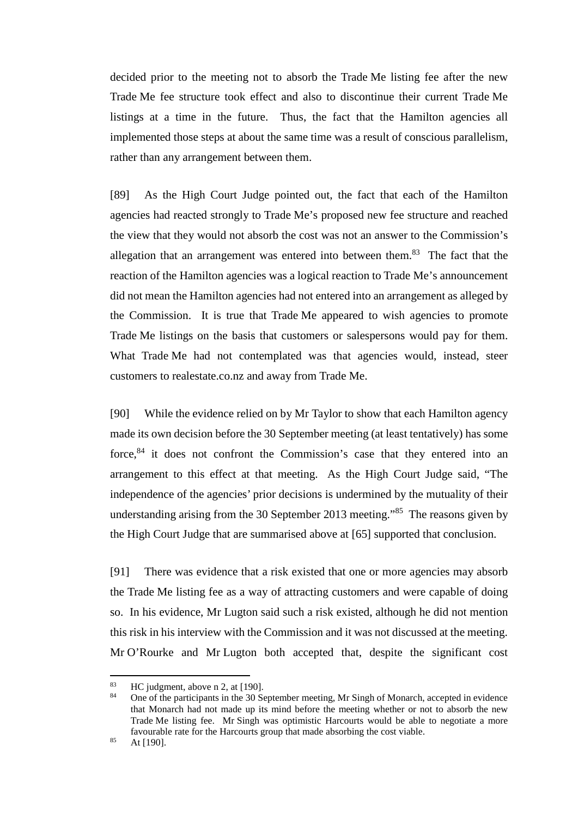decided prior to the meeting not to absorb the Trade Me listing fee after the new Trade Me fee structure took effect and also to discontinue their current Trade Me listings at a time in the future. Thus, the fact that the Hamilton agencies all implemented those steps at about the same time was a result of conscious parallelism, rather than any arrangement between them.

[89] As the High Court Judge pointed out, the fact that each of the Hamilton agencies had reacted strongly to Trade Me's proposed new fee structure and reached the view that they would not absorb the cost was not an answer to the Commission's allegation that an arrangement was entered into between them.<sup>83</sup> The fact that the reaction of the Hamilton agencies was a logical reaction to Trade Me's announcement did not mean the Hamilton agencies had not entered into an arrangement as alleged by the Commission. It is true that Trade Me appeared to wish agencies to promote Trade Me listings on the basis that customers or salespersons would pay for them. What Trade Me had not contemplated was that agencies would, instead, steer customers to realestate.co.nz and away from Trade Me.

[90] While the evidence relied on by Mr Taylor to show that each Hamilton agency made its own decision before the 30 September meeting (at least tentatively) has some force,<sup>84</sup> it does not confront the Commission's case that they entered into an arrangement to this effect at that meeting. As the High Court Judge said, "The independence of the agencies' prior decisions is undermined by the mutuality of their understanding arising from the 30 September 2013 meeting."<sup>85</sup> The reasons given by the High Court Judge that are summarised above at [\[65\]](#page-20-0) supported that conclusion.

<span id="page-27-0"></span>[91] There was evidence that a risk existed that one or more agencies may absorb the Trade Me listing fee as a way of attracting customers and were capable of doing so. In his evidence, Mr Lugton said such a risk existed, although he did not mention this risk in his interview with the Commission and it was not discussed at the meeting. Mr O'Rourke and Mr Lugton both accepted that, despite the significant cost

<sup>&</sup>lt;sup>83</sup> HC judgment, above [n 2,](#page-2-0) at [190].<br><sup>84</sup> One of the participants in the 30 Se

<sup>84</sup> One of the participants in the 30 September meeting, Mr Singh of Monarch, accepted in evidence that Monarch had not made up its mind before the meeting whether or not to absorb the new Trade Me listing fee. Mr Singh was optimistic Harcourts would be able to negotiate a more favourable rate for the Harcourts group that made absorbing the cost viable.

 $85$  At [190].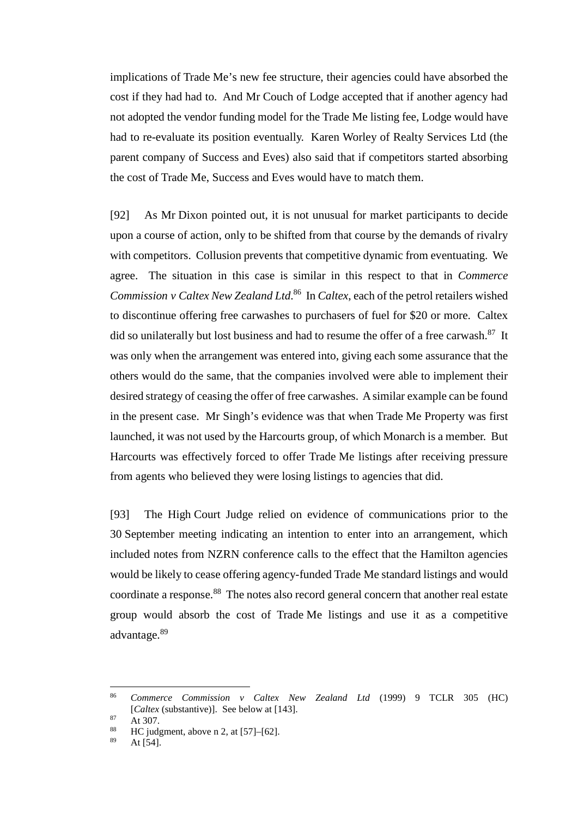implications of Trade Me's new fee structure, their agencies could have absorbed the cost if they had had to. And Mr Couch of Lodge accepted that if another agency had not adopted the vendor funding model for the Trade Me listing fee, Lodge would have had to re-evaluate its position eventually. Karen Worley of Realty Services Ltd (the parent company of Success and Eves) also said that if competitors started absorbing the cost of Trade Me, Success and Eves would have to match them.

<span id="page-28-0"></span>[92] As Mr Dixon pointed out, it is not unusual for market participants to decide upon a course of action, only to be shifted from that course by the demands of rivalry with competitors. Collusion prevents that competitive dynamic from eventuating. We agree. The situation in this case is similar in this respect to that in *Commerce Commission v Caltex New Zealand Ltd*. 86 In *Caltex*, each of the petrol retailers wished to discontinue offering free carwashes to purchasers of fuel for \$20 or more. Caltex did so unilaterally but lost business and had to resume the offer of a free carwash.<sup>87</sup> It was only when the arrangement was entered into, giving each some assurance that the others would do the same, that the companies involved were able to implement their desired strategy of ceasing the offer of free carwashes. A similar example can be found in the present case. Mr Singh's evidence was that when Trade Me Property was first launched, it was not used by the Harcourts group, of which Monarch is a member. But Harcourts was effectively forced to offer Trade Me listings after receiving pressure from agents who believed they were losing listings to agencies that did.

[93] The High Court Judge relied on evidence of communications prior to the 30 September meeting indicating an intention to enter into an arrangement, which included notes from NZRN conference calls to the effect that the Hamilton agencies would be likely to cease offering agency-funded Trade Me standard listings and would coordinate a response.<sup>88</sup> The notes also record general concern that another real estate group would absorb the cost of Trade Me listings and use it as a competitive advantage.<sup>89</sup>

 <sup>86</sup> *Commerce Commission v Caltex New Zealand Ltd* (1999) 9 TCLR 305 (HC) [*Caltex* (substantive)]. See below a[t \[143\].](#page-42-0)

 $87$  At 307.

 $HC$  judgment, above [n 2,](#page-2-0) at  $[57]$ – $[62]$ .

At  $[54]$ .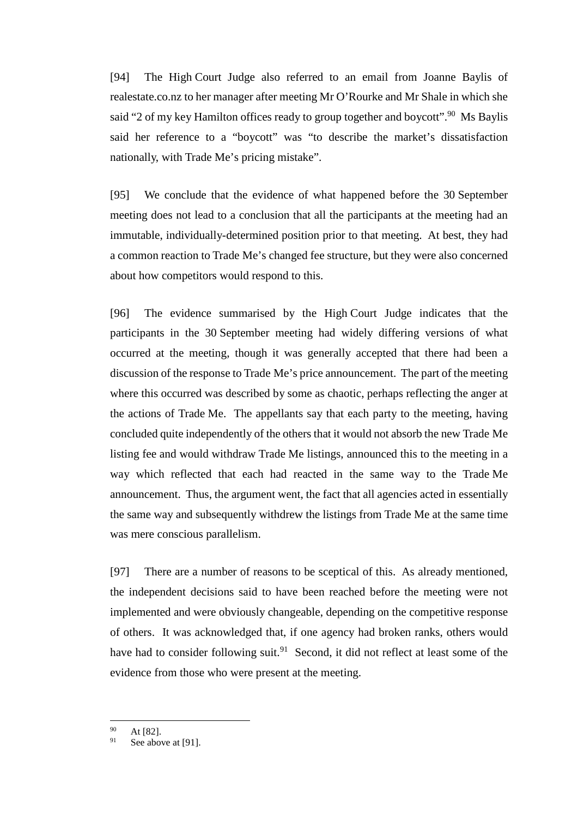[94] The High Court Judge also referred to an email from Joanne Baylis of realestate.co.nz to her manager after meeting Mr O'Rourke and Mr Shale in which she said "2 of my key Hamilton offices ready to group together and boycott".<sup>90</sup> Ms Baylis said her reference to a "boycott" was "to describe the market's dissatisfaction nationally, with Trade Me's pricing mistake".

[95] We conclude that the evidence of what happened before the 30 September meeting does not lead to a conclusion that all the participants at the meeting had an immutable, individually-determined position prior to that meeting. At best, they had a common reaction to Trade Me's changed fee structure, but they were also concerned about how competitors would respond to this.

[96] The evidence summarised by the High Court Judge indicates that the participants in the 30 September meeting had widely differing versions of what occurred at the meeting, though it was generally accepted that there had been a discussion of the response to Trade Me's price announcement. The part of the meeting where this occurred was described by some as chaotic, perhaps reflecting the anger at the actions of Trade Me. The appellants say that each party to the meeting, having concluded quite independently of the others that it would not absorb the new Trade Me listing fee and would withdraw Trade Me listings, announced this to the meeting in a way which reflected that each had reacted in the same way to the Trade Me announcement. Thus, the argument went, the fact that all agencies acted in essentially the same way and subsequently withdrew the listings from Trade Me at the same time was mere conscious parallelism.

[97] There are a number of reasons to be sceptical of this. As already mentioned, the independent decisions said to have been reached before the meeting were not implemented and were obviously changeable, depending on the competitive response of others. It was acknowledged that, if one agency had broken ranks, others would have had to consider following suit.<sup>91</sup> Second, it did not reflect at least some of the evidence from those who were present at the meeting.

 $^{90}$  At [82].

See above a[t \[91\].](#page-27-0)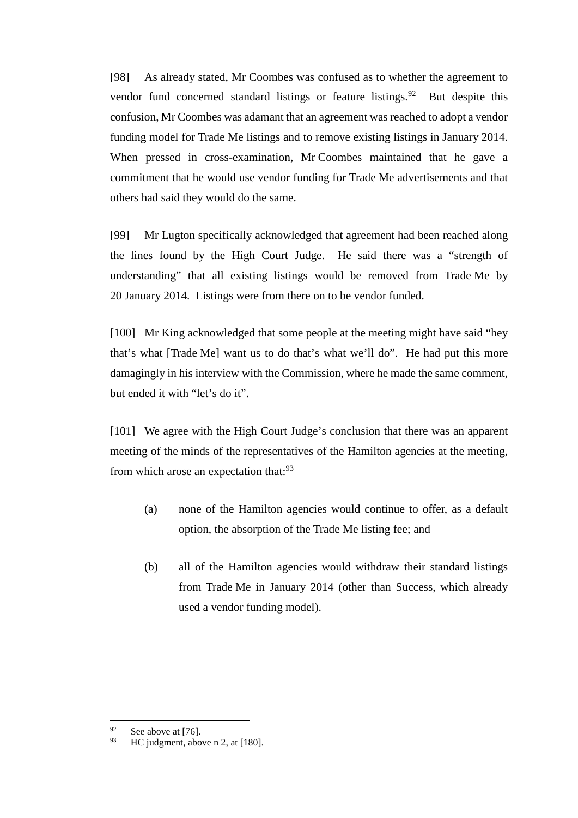[98] As already stated, Mr Coombes was confused as to whether the agreement to vendor fund concerned standard listings or feature listings. <sup>92</sup> But despite this confusion, Mr Coombes was adamant that an agreement was reached to adopt a vendor funding model for Trade Me listings and to remove existing listings in January 2014. When pressed in cross-examination, Mr Coombes maintained that he gave a commitment that he would use vendor funding for Trade Me advertisements and that others had said they would do the same.

[99] Mr Lugton specifically acknowledged that agreement had been reached along the lines found by the High Court Judge. He said there was a "strength of understanding" that all existing listings would be removed from Trade Me by 20 January 2014. Listings were from there on to be vendor funded.

[100] Mr King acknowledged that some people at the meeting might have said "hey that's what [Trade Me] want us to do that's what we'll do". He had put this more damagingly in his interview with the Commission, where he made the same comment, but ended it with "let's do it".

[101] We agree with the High Court Judge's conclusion that there was an apparent meeting of the minds of the representatives of the Hamilton agencies at the meeting, from which arose an expectation that:<sup>93</sup>

- (a) none of the Hamilton agencies would continue to offer, as a default option, the absorption of the Trade Me listing fee; and
- (b) all of the Hamilton agencies would withdraw their standard listings from Trade Me in January 2014 (other than Success, which already used a vendor funding model).

 $^{92}$  See above a[t \[76\].](#page-23-1)

HC judgment, above [n 2,](#page-2-0) at [180].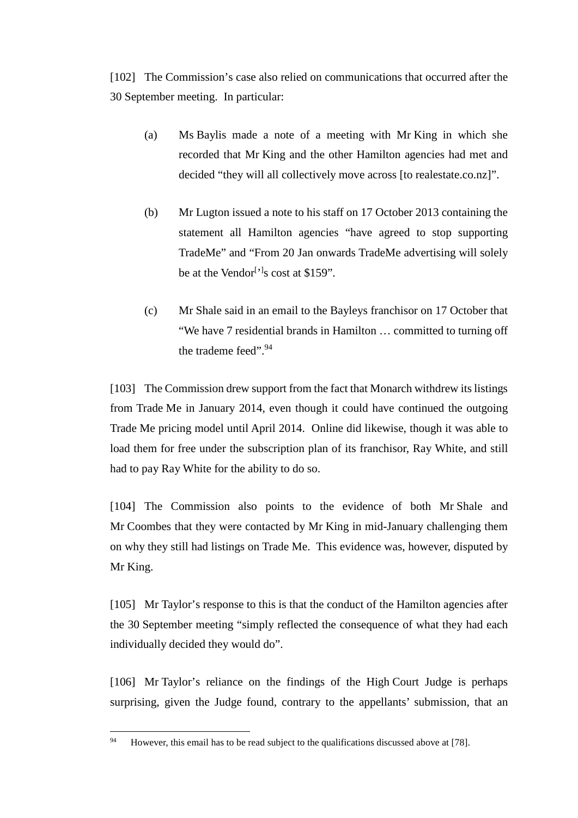[102] The Commission's case also relied on communications that occurred after the 30 September meeting. In particular:

- (a) Ms Baylis made a note of a meeting with Mr King in which she recorded that Mr King and the other Hamilton agencies had met and decided "they will all collectively move across [to realestate.co.nz]".
- (b) Mr Lugton issued a note to his staff on 17 October 2013 containing the statement all Hamilton agencies "have agreed to stop supporting TradeMe" and "From 20 Jan onwards TradeMe advertising will solely be at the Vendor<sup>[ $\cdot$ ]</sup>s cost at \$159".
- (c) Mr Shale said in an email to the Bayleys franchisor on 17 October that "We have 7 residential brands in Hamilton … committed to turning off the trademe feed".<sup>94</sup>

[103] The Commission drew support from the fact that Monarch withdrew its listings from Trade Me in January 2014, even though it could have continued the outgoing Trade Me pricing model until April 2014. Online did likewise, though it was able to load them for free under the subscription plan of its franchisor, Ray White, and still had to pay Ray White for the ability to do so.

[104] The Commission also points to the evidence of both Mr Shale and Mr Coombes that they were contacted by Mr King in mid-January challenging them on why they still had listings on Trade Me. This evidence was, however, disputed by Mr King.

[105] Mr Taylor's response to this is that the conduct of the Hamilton agencies after the 30 September meeting "simply reflected the consequence of what they had each individually decided they would do".

<span id="page-31-0"></span>[106] Mr Taylor's reliance on the findings of the High Court Judge is perhaps surprising, given the Judge found, contrary to the appellants' submission, that an

<sup>&</sup>lt;sup>94</sup> However, this email has to be read subject to the qualifications discussed above at [\[78\].](#page-24-0)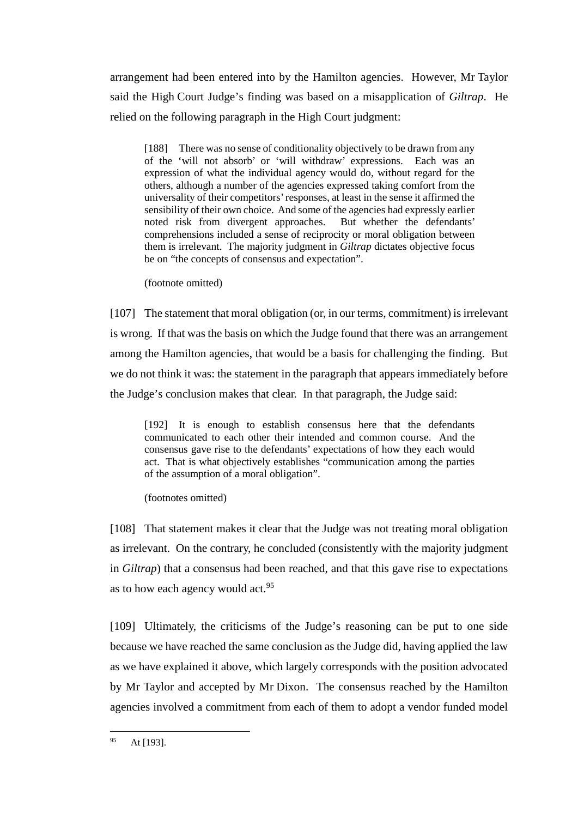arrangement had been entered into by the Hamilton agencies. However, Mr Taylor said the High Court Judge's finding was based on a misapplication of *Giltrap*. He relied on the following paragraph in the High Court judgment:

[188] There was no sense of conditionality objectively to be drawn from any of the 'will not absorb' or 'will withdraw' expressions. Each was an expression of what the individual agency would do, without regard for the others, although a number of the agencies expressed taking comfort from the universality of their competitors' responses, at least in the sense it affirmed the sensibility of their own choice. And some of the agencies had expressly earlier noted risk from divergent approaches. But whether the defendants' comprehensions included a sense of reciprocity or moral obligation between them is irrelevant. The majority judgment in *Giltrap* dictates objective focus be on "the concepts of consensus and expectation".

(footnote omitted)

[107] The statement that moral obligation (or, in our terms, commitment) is irrelevant is wrong. If that was the basis on which the Judge found that there was an arrangement among the Hamilton agencies, that would be a basis for challenging the finding. But we do not think it was: the statement in the paragraph that appears immediately before the Judge's conclusion makes that clear. In that paragraph, the Judge said:

[192] It is enough to establish consensus here that the defendants communicated to each other their intended and common course. And the consensus gave rise to the defendants' expectations of how they each would act. That is what objectively establishes "communication among the parties of the assumption of a moral obligation".

(footnotes omitted)

[108] That statement makes it clear that the Judge was not treating moral obligation as irrelevant. On the contrary, he concluded (consistently with the majority judgment in *Giltrap*) that a consensus had been reached, and that this gave rise to expectations as to how each agency would act.<sup>95</sup>

[109] Ultimately, the criticisms of the Judge's reasoning can be put to one side because we have reached the same conclusion as the Judge did, having applied the law as we have explained it above, which largely corresponds with the position advocated by Mr Taylor and accepted by Mr Dixon. The consensus reached by the Hamilton agencies involved a commitment from each of them to adopt a vendor funded model

 $95$  At [193].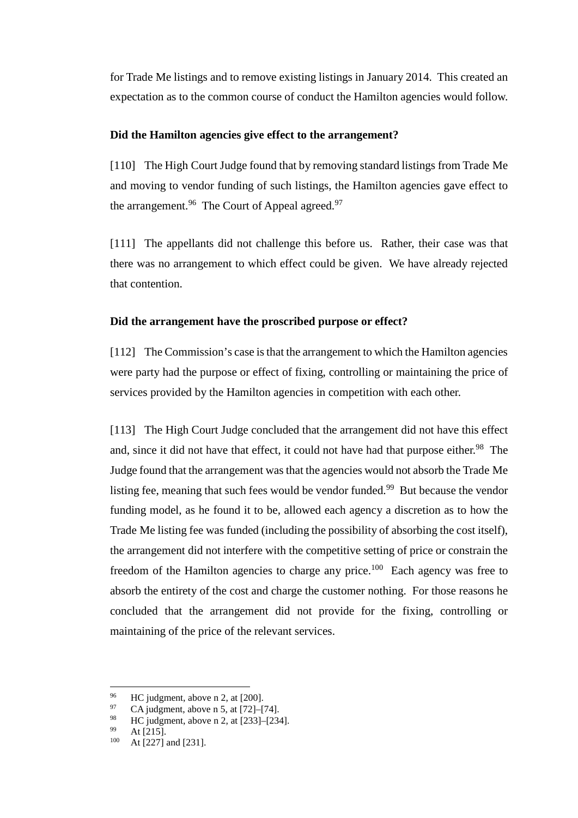for Trade Me listings and to remove existing listings in January 2014. This created an expectation as to the common course of conduct the Hamilton agencies would follow.

# **Did the Hamilton agencies give effect to the arrangement?**

<span id="page-33-0"></span>[110] The High Court Judge found that by removing standard listings from Trade Me and moving to vendor funding of such listings, the Hamilton agencies gave effect to the arrangement.<sup>96</sup> The Court of Appeal agreed.<sup>97</sup>

[111] The appellants did not challenge this before us. Rather, their case was that there was no arrangement to which effect could be given. We have already rejected that contention.

### **Did the arrangement have the proscribed purpose or effect?**

<span id="page-33-1"></span>[112] The Commission's case is that the arrangement to which the Hamilton agencies were party had the purpose or effect of fixing, controlling or maintaining the price of services provided by the Hamilton agencies in competition with each other.

[113] The High Court Judge concluded that the arrangement did not have this effect and, since it did not have that effect, it could not have had that purpose either.<sup>98</sup> The Judge found that the arrangement was that the agencies would not absorb the Trade Me listing fee, meaning that such fees would be vendor funded.<sup>99</sup> But because the vendor funding model, as he found it to be, allowed each agency a discretion as to how the Trade Me listing fee was funded (including the possibility of absorbing the cost itself), the arrangement did not interfere with the competitive setting of price or constrain the freedom of the Hamilton agencies to charge any price.<sup>100</sup> Each agency was free to absorb the entirety of the cost and charge the customer nothing. For those reasons he concluded that the arrangement did not provide for the fixing, controlling or maintaining of the price of the relevant services.

<sup>&</sup>lt;sup>96</sup> HC judgment, above [n 2,](#page-2-0) at [200].

<sup>97</sup> CA judgment, above n [5,](#page-2-1) at  $[72]$ – $[74]$ .

 $^{98}$  HC judgment, above [n 2,](#page-2-0) at [233]–[234].

 $^{99}$  At [215].

At [227] and [231].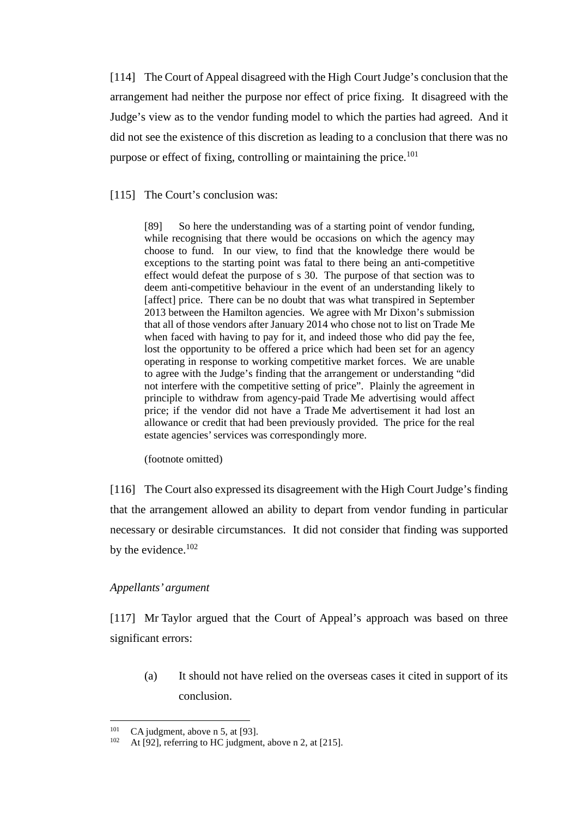[114] The Court of Appeal disagreed with the High Court Judge's conclusion that the arrangement had neither the purpose nor effect of price fixing. It disagreed with the Judge's view as to the vendor funding model to which the parties had agreed. And it did not see the existence of this discretion as leading to a conclusion that there was no purpose or effect of fixing, controlling or maintaining the price.<sup>101</sup>

## [115] The Court's conclusion was:

[89] So here the understanding was of a starting point of vendor funding, while recognising that there would be occasions on which the agency may choose to fund. In our view, to find that the knowledge there would be exceptions to the starting point was fatal to there being an anti-competitive effect would defeat the purpose of s 30. The purpose of that section was to deem anti-competitive behaviour in the event of an understanding likely to [affect] price. There can be no doubt that was what transpired in September 2013 between the Hamilton agencies. We agree with Mr Dixon's submission that all of those vendors after January 2014 who chose not to list on Trade Me when faced with having to pay for it, and indeed those who did pay the fee, lost the opportunity to be offered a price which had been set for an agency operating in response to working competitive market forces. We are unable to agree with the Judge's finding that the arrangement or understanding "did not interfere with the competitive setting of price". Plainly the agreement in principle to withdraw from agency-paid Trade Me advertising would affect price; if the vendor did not have a Trade Me advertisement it had lost an allowance or credit that had been previously provided. The price for the real estate agencies' services was correspondingly more.

(footnote omitted)

[116] The Court also expressed its disagreement with the High Court Judge's finding that the arrangement allowed an ability to depart from vendor funding in particular necessary or desirable circumstances. It did not consider that finding was supported by the evidence.<sup>102</sup>

# *Appellants' argument*

<span id="page-34-0"></span>[117] Mr Taylor argued that the Court of Appeal's approach was based on three significant errors:

(a) It should not have relied on the overseas cases it cited in support of its conclusion.

<sup>&</sup>lt;sup>101</sup> CA judgment, above n [5,](#page-2-1) at [93].

At [92], referring to HC judgment, above [n 2,](#page-2-0) at [215].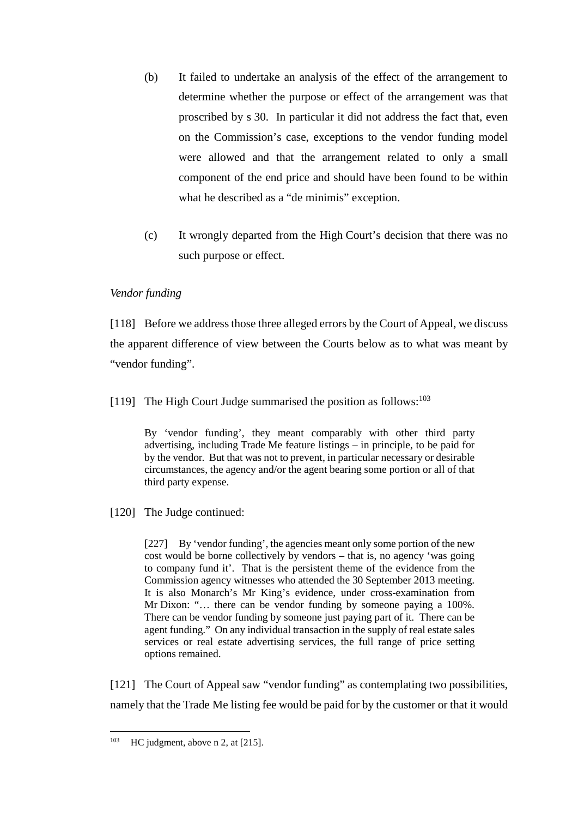- (b) It failed to undertake an analysis of the effect of the arrangement to determine whether the purpose or effect of the arrangement was that proscribed by s 30. In particular it did not address the fact that, even on the Commission's case, exceptions to the vendor funding model were allowed and that the arrangement related to only a small component of the end price and should have been found to be within what he described as a "de minimis" exception.
- (c) It wrongly departed from the High Court's decision that there was no such purpose or effect.

# *Vendor funding*

<span id="page-35-0"></span>[118] Before we address those three alleged errors by the Court of Appeal, we discuss the apparent difference of view between the Courts below as to what was meant by "vendor funding".

[119] The High Court Judge summarised the position as follows:<sup>103</sup>

By 'vendor funding', they meant comparably with other third party advertising, including Trade Me feature listings – in principle, to be paid for by the vendor. But that was not to prevent, in particular necessary or desirable circumstances, the agency and/or the agent bearing some portion or all of that third party expense.

[120] The Judge continued:

[227] By 'vendor funding', the agencies meant only some portion of the new cost would be borne collectively by vendors – that is, no agency 'was going to company fund it'. That is the persistent theme of the evidence from the Commission agency witnesses who attended the 30 September 2013 meeting. It is also Monarch's Mr King's evidence, under cross-examination from Mr Dixon: "… there can be vendor funding by someone paying a 100%. There can be vendor funding by someone just paying part of it. There can be agent funding." On any individual transaction in the supply of real estate sales services or real estate advertising services, the full range of price setting options remained.

[121] The Court of Appeal saw "vendor funding" as contemplating two possibilities, namely that the Trade Me listing fee would be paid for by the customer or that it would

 $103$  HC judgment, above [n 2,](#page-2-0) at [215].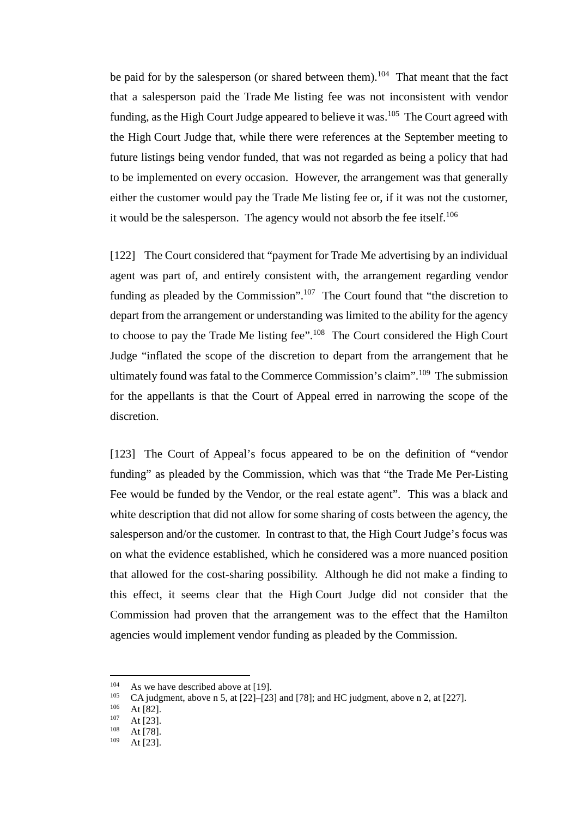be paid for by the salesperson (or shared between them).<sup>104</sup> That meant that the fact that a salesperson paid the Trade Me listing fee was not inconsistent with vendor funding, as the High Court Judge appeared to believe it was.<sup>105</sup> The Court agreed with the High Court Judge that, while there were references at the September meeting to future listings being vendor funded, that was not regarded as being a policy that had to be implemented on every occasion. However, the arrangement was that generally either the customer would pay the Trade Me listing fee or, if it was not the customer, it would be the salesperson. The agency would not absorb the fee itself.<sup>106</sup>

[122] The Court considered that "payment for Trade Me advertising by an individual agent was part of, and entirely consistent with, the arrangement regarding vendor funding as pleaded by the Commission".<sup>107</sup> The Court found that "the discretion to depart from the arrangement or understanding was limited to the ability for the agency to choose to pay the Trade Me listing fee".108 The Court considered the High Court Judge "inflated the scope of the discretion to depart from the arrangement that he ultimately found was fatal to the Commerce Commission's claim".109 The submission for the appellants is that the Court of Appeal erred in narrowing the scope of the discretion.

[123] The Court of Appeal's focus appeared to be on the definition of "vendor" funding" as pleaded by the Commission, which was that "the Trade Me Per-Listing Fee would be funded by the Vendor, or the real estate agent". This was a black and white description that did not allow for some sharing of costs between the agency, the salesperson and/or the customer. In contrast to that, the High Court Judge's focus was on what the evidence established, which he considered was a more nuanced position that allowed for the cost-sharing possibility. Although he did not make a finding to this effect, it seems clear that the High Court Judge did not consider that the Commission had proven that the arrangement was to the effect that the Hamilton agencies would implement vendor funding as pleaded by the Commission.

<sup>&</sup>lt;sup>104</sup> As we have described above a[t \[19\].](#page-6-0)<br> $^{105}$  CA judgment, above a 5, at [22]–[23]

<sup>&</sup>lt;sup>105</sup> CA judgment, above n [5,](#page-2-1) at [22]–[23] and [78]; and HC judgment, above [n 2,](#page-2-0) at [227].

 $106$  At [82].

 $107$  At [23].

 $108$  At [78].

At  $[23]$ .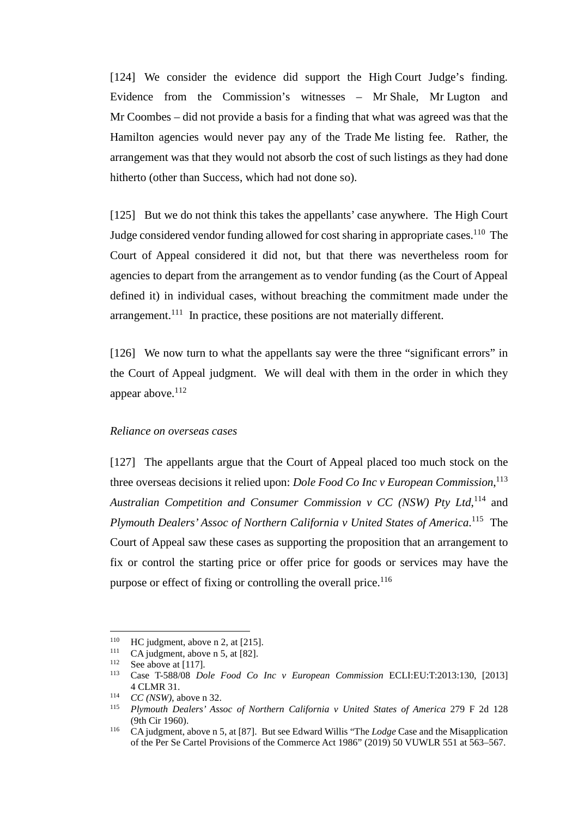[124] We consider the evidence did support the High Court Judge's finding. Evidence from the Commission's witnesses – Mr Shale, Mr Lugton and Mr Coombes – did not provide a basis for a finding that what was agreed was that the Hamilton agencies would never pay any of the Trade Me listing fee. Rather, the arrangement was that they would not absorb the cost of such listings as they had done hitherto (other than Success, which had not done so).

<span id="page-37-1"></span>[125] But we do not think this takes the appellants' case anywhere. The High Court Judge considered vendor funding allowed for cost sharing in appropriate cases.<sup>110</sup> The Court of Appeal considered it did not, but that there was nevertheless room for agencies to depart from the arrangement as to vendor funding (as the Court of Appeal defined it) in individual cases, without breaching the commitment made under the arrangement.<sup>111</sup> In practice, these positions are not materially different.

[126] We now turn to what the appellants say were the three "significant errors" in the Court of Appeal judgment. We will deal with them in the order in which they appear above. $112$ 

#### *Reliance on overseas cases*

<span id="page-37-3"></span><span id="page-37-2"></span><span id="page-37-0"></span>[127] The appellants argue that the Court of Appeal placed too much stock on the three overseas decisions it relied upon: *Dole Food Co Inc v European Commission*, 113 *Australian Competition and Consumer Commission v CC (NSW) Pty Ltd*, <sup>114</sup> and *Plymouth Dealers' Assoc of Northern California v United States of America*. 115 The Court of Appeal saw these cases as supporting the proposition that an arrangement to fix or control the starting price or offer price for goods or services may have the purpose or effect of fixing or controlling the overall price.<sup>116</sup>

 $110$  HC judgment, above [n 2,](#page-2-0) at [215].

<sup>&</sup>lt;sup>111</sup> CA judgment, above n [5,](#page-2-1) at [82].<br><sup>112</sup> Soo above at  $[117]$ 

See above a[t \[117\].](#page-34-0)

<sup>113</sup> Case T-588/08 *Dole Food Co Inc v European Commission* ECLI:EU:T:2013:130, [2013] 4 CLMR 31.

<sup>114</sup> *CC (NSW)*, above n [32.](#page-13-4)

<sup>115</sup> *Plymouth Dealers' Assoc of Northern California v United States of America* 279 F 2d 128 (9th Cir 1960).

<sup>116</sup> CA judgment, above n [5,](#page-2-1) at [87]. But see Edward Willis "The *Lodge* Case and the Misapplication of the Per Se Cartel Provisions of the Commerce Act 1986" (2019) 50 VUWLR 551 at 563–567.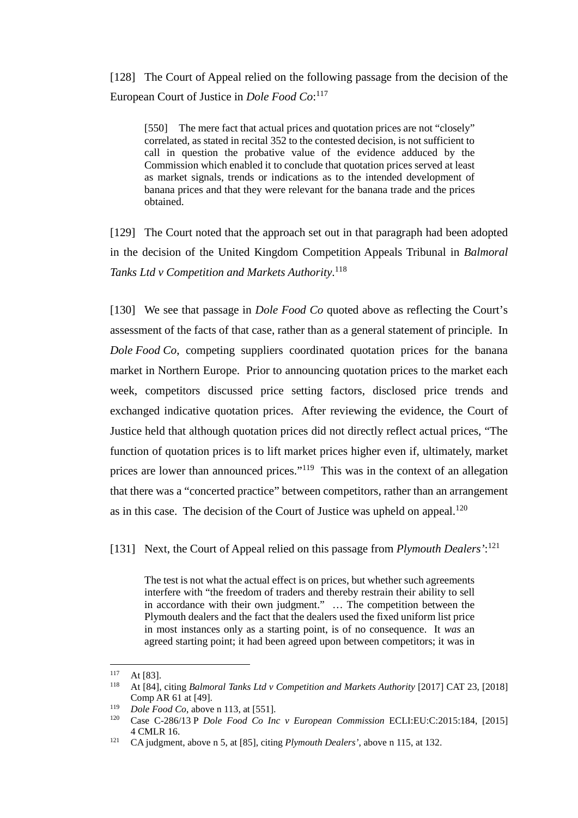[128] The Court of Appeal relied on the following passage from the decision of the European Court of Justice in *Dole Food Co*: 117

[550] The mere fact that actual prices and quotation prices are not "closely" correlated, as stated in recital 352 to the contested decision, is not sufficient to call in question the probative value of the evidence adduced by the Commission which enabled it to conclude that quotation prices served at least as market signals, trends or indications as to the intended development of banana prices and that they were relevant for the banana trade and the prices obtained.

[129] The Court noted that the approach set out in that paragraph had been adopted in the decision of the United Kingdom Competition Appeals Tribunal in *Balmoral Tanks Ltd v Competition and Markets Authority*. 118

[130] We see that passage in *Dole Food Co* quoted above as reflecting the Court's assessment of the facts of that case, rather than as a general statement of principle. In *Dole Food Co*, competing suppliers coordinated quotation prices for the banana market in Northern Europe. Prior to announcing quotation prices to the market each week, competitors discussed price setting factors, disclosed price trends and exchanged indicative quotation prices. After reviewing the evidence, the Court of Justice held that although quotation prices did not directly reflect actual prices, "The function of quotation prices is to lift market prices higher even if, ultimately, market prices are lower than announced prices."119 This was in the context of an allegation that there was a "concerted practice" between competitors, rather than an arrangement as in this case. The decision of the Court of Justice was upheld on appeal.<sup>120</sup>

[131] Next, the Court of Appeal relied on this passage from *Plymouth Dealers'*: 121

The test is not what the actual effect is on prices, but whether such agreements interfere with "the freedom of traders and thereby restrain their ability to sell in accordance with their own judgment." … The competition between the Plymouth dealers and the fact that the dealers used the fixed uniform list price in most instances only as a starting point, is of no consequence. It *was* an agreed starting point; it had been agreed upon between competitors; it was in

 $117$  At [83].<br> $118$  At [84]

<sup>118</sup> At [84], citing *Balmoral Tanks Ltd v Competition and Markets Authority* [2017] CAT 23, [2018] Comp AR 61 at [49].

<sup>119</sup> *Dole Food Co*, above n [113,](#page-37-2) at [551].

<sup>120</sup> Case C-286/13 P *Dole Food Co Inc v European Commission* ECLI:EU:C:2015:184, [2015] 4 CMLR 16.

<sup>121</sup> CA judgment, above n [5,](#page-2-1) at [85], citing *Plymouth Dealers'*, above n [115,](#page-37-3) at 132.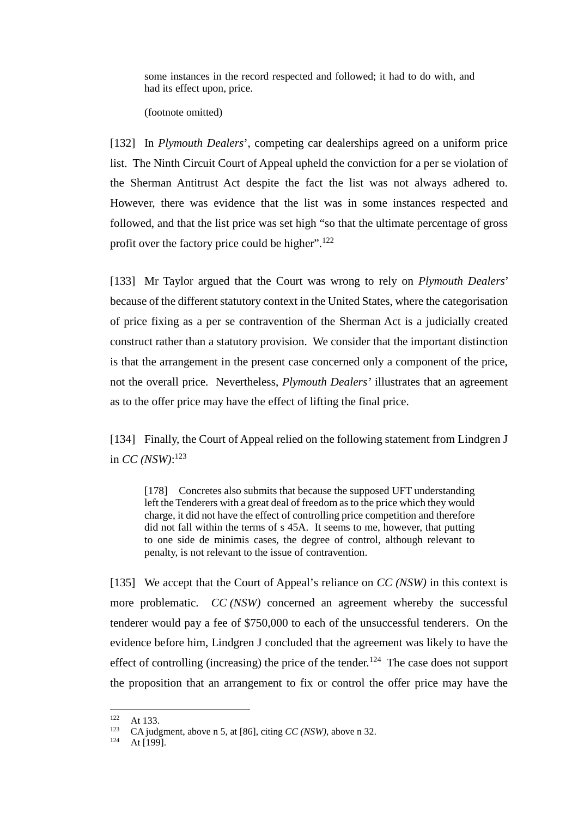some instances in the record respected and followed; it had to do with, and had its effect upon, price.

(footnote omitted)

[132] In *Plymouth Dealers*', competing car dealerships agreed on a uniform price list. The Ninth Circuit Court of Appeal upheld the conviction for a per se violation of the Sherman Antitrust Act despite the fact the list was not always adhered to. However, there was evidence that the list was in some instances respected and followed, and that the list price was set high "so that the ultimate percentage of gross profit over the factory price could be higher".<sup>122</sup>

[133] Mr Taylor argued that the Court was wrong to rely on *Plymouth Dealers*' because of the different statutory context in the United States, where the categorisation of price fixing as a per se contravention of the Sherman Act is a judicially created construct rather than a statutory provision. We consider that the important distinction is that the arrangement in the present case concerned only a component of the price, not the overall price. Nevertheless, *Plymouth Dealers'* illustrates that an agreement as to the offer price may have the effect of lifting the final price.

<span id="page-39-0"></span>[134] Finally, the Court of Appeal relied on the following statement from Lindgren J in *CC (NSW)*: 123

[178] Concretes also submits that because the supposed UFT understanding left the Tenderers with a great deal of freedom as to the price which they would charge, it did not have the effect of controlling price competition and therefore did not fall within the terms of s 45A. It seems to me, however, that putting to one side de minimis cases, the degree of control, although relevant to penalty, is not relevant to the issue of contravention.

<span id="page-39-1"></span>[135] We accept that the Court of Appeal's reliance on *CC (NSW)* in this context is more problematic. *CC (NSW)* concerned an agreement whereby the successful tenderer would pay a fee of \$750,000 to each of the unsuccessful tenderers. On the evidence before him, Lindgren J concluded that the agreement was likely to have the effect of controlling (increasing) the price of the tender.<sup>124</sup> The case does not support the proposition that an arrangement to fix or control the offer price may have the

 $122$  At 133.

<sup>&</sup>lt;sup>123</sup> CA judgment, above n [5,](#page-2-1) at [86], citing *CC (NSW)*, above n [32.](#page-13-4)

At [199].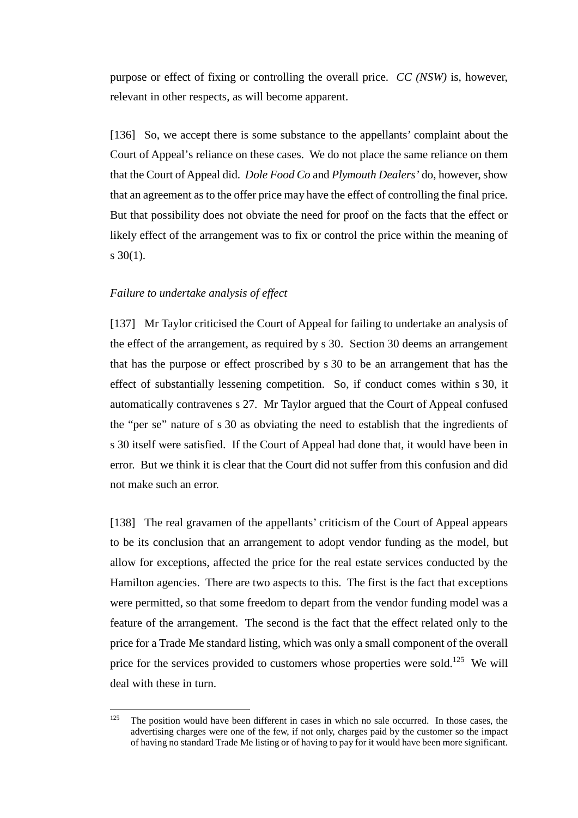purpose or effect of fixing or controlling the overall price. *CC (NSW)* is, however, relevant in other respects, as will become apparent.

[136] So, we accept there is some substance to the appellants' complaint about the Court of Appeal's reliance on these cases. We do not place the same reliance on them that the Court of Appeal did. *Dole Food Co* and *Plymouth Dealers'* do, however, show that an agreement as to the offer price may have the effect of controlling the final price. But that possibility does not obviate the need for proof on the facts that the effect or likely effect of the arrangement was to fix or control the price within the meaning of s  $30(1)$ .

#### *Failure to undertake analysis of effect*

<span id="page-40-0"></span>[137] Mr Taylor criticised the Court of Appeal for failing to undertake an analysis of the effect of the arrangement, as required by s 30. Section 30 deems an arrangement that has the purpose or effect proscribed by s 30 to be an arrangement that has the effect of substantially lessening competition. So, if conduct comes within s 30, it automatically contravenes s 27. Mr Taylor argued that the Court of Appeal confused the "per se" nature of s 30 as obviating the need to establish that the ingredients of s 30 itself were satisfied. If the Court of Appeal had done that, it would have been in error. But we think it is clear that the Court did not suffer from this confusion and did not make such an error.

[138] The real gravamen of the appellants' criticism of the Court of Appeal appears to be its conclusion that an arrangement to adopt vendor funding as the model, but allow for exceptions, affected the price for the real estate services conducted by the Hamilton agencies. There are two aspects to this. The first is the fact that exceptions were permitted, so that some freedom to depart from the vendor funding model was a feature of the arrangement. The second is the fact that the effect related only to the price for a Trade Me standard listing, which was only a small component of the overall price for the services provided to customers whose properties were sold.<sup>125</sup> We will deal with these in turn.

 $125$  The position would have been different in cases in which no sale occurred. In those cases, the advertising charges were one of the few, if not only, charges paid by the customer so the impact of having no standard Trade Me listing or of having to pay for it would have been more significant.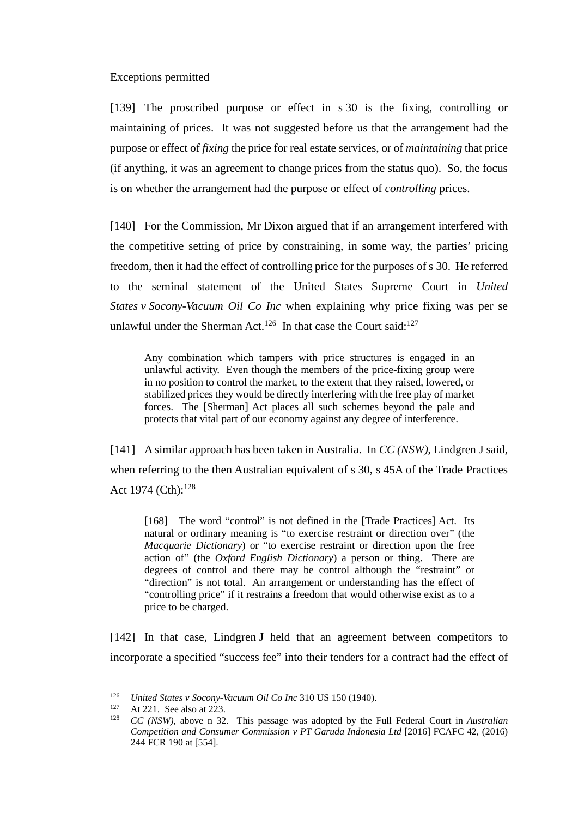#### Exceptions permitted

<span id="page-41-0"></span>[139] The proscribed purpose or effect in s 30 is the fixing, controlling or maintaining of prices. It was not suggested before us that the arrangement had the purpose or effect of *fixing* the price for real estate services, or of *maintaining* that price (if anything, it was an agreement to change prices from the status quo). So, the focus is on whether the arrangement had the purpose or effect of *controlling* prices.

[140] For the Commission, Mr Dixon argued that if an arrangement interfered with the competitive setting of price by constraining, in some way, the parties' pricing freedom, then it had the effect of controlling price for the purposes of s 30. He referred to the seminal statement of the United States Supreme Court in *United States v Socony-Vacuum Oil Co Inc* when explaining why price fixing was per se unlawful under the Sherman Act.<sup>126</sup> In that case the Court said:<sup>127</sup>

Any combination which tampers with price structures is engaged in an unlawful activity. Even though the members of the price-fixing group were in no position to control the market, to the extent that they raised, lowered, or stabilized prices they would be directly interfering with the free play of market forces. The [Sherman] Act places all such schemes beyond the pale and protects that vital part of our economy against any degree of interference.

[141] A similar approach has been taken in Australia. In *CC (NSW)*, Lindgren J said, when referring to the then Australian equivalent of s 30, s 45A of the Trade Practices Act 1974 (Cth): $128$ 

<span id="page-41-1"></span>[168] The word "control" is not defined in the [Trade Practices] Act. Its natural or ordinary meaning is "to exercise restraint or direction over" (the *Macquarie Dictionary*) or "to exercise restraint or direction upon the free action of" (the *Oxford English Dictionary*) a person or thing. There are degrees of control and there may be control although the "restraint" or "direction" is not total. An arrangement or understanding has the effect of "controlling price" if it restrains a freedom that would otherwise exist as to a price to be charged.

[142] In that case, Lindgren J held that an agreement between competitors to incorporate a specified "success fee" into their tenders for a contract had the effect of

 <sup>126</sup> *United States v Socony-Vacuum Oil Co Inc* 310 US 150 (1940).

<sup>&</sup>lt;sup>127</sup> At 221. See also at 223.<br><sup>128</sup>  $CC(NSW)$  above n 32

<sup>128</sup> *CC (NSW)*, above n [32.](#page-13-4) This passage was adopted by the Full Federal Court in *Australian Competition and Consumer Commission v PT Garuda Indonesia Ltd* [2016] FCAFC 42, (2016) 244 FCR 190 at [554].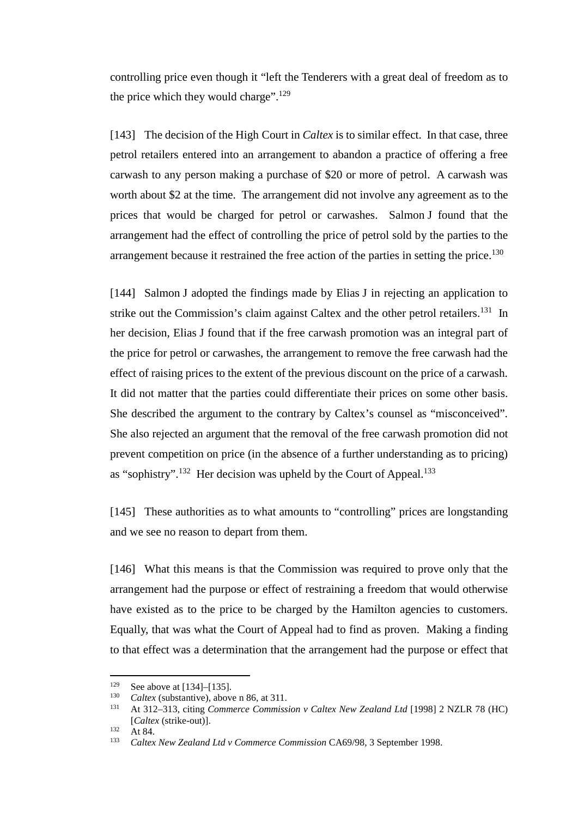controlling price even though it "left the Tenderers with a great deal of freedom as to the price which they would charge".<sup>129</sup>

<span id="page-42-0"></span>[143] The decision of the High Court in *Caltex* is to similar effect. In that case, three petrol retailers entered into an arrangement to abandon a practice of offering a free carwash to any person making a purchase of \$20 or more of petrol. A carwash was worth about \$2 at the time. The arrangement did not involve any agreement as to the prices that would be charged for petrol or carwashes. Salmon J found that the arrangement had the effect of controlling the price of petrol sold by the parties to the arrangement because it restrained the free action of the parties in setting the price.<sup>130</sup>

<span id="page-42-1"></span>[144] Salmon J adopted the findings made by Elias J in rejecting an application to strike out the Commission's claim against Caltex and the other petrol retailers.<sup>131</sup> In her decision, Elias J found that if the free carwash promotion was an integral part of the price for petrol or carwashes, the arrangement to remove the free carwash had the effect of raising prices to the extent of the previous discount on the price of a carwash. It did not matter that the parties could differentiate their prices on some other basis. She described the argument to the contrary by Caltex's counsel as "misconceived". She also rejected an argument that the removal of the free carwash promotion did not prevent competition on price (in the absence of a further understanding as to pricing) as "sophistry".<sup>132</sup> Her decision was upheld by the Court of Appeal.<sup>133</sup>

[145] These authorities as to what amounts to "controlling" prices are longstanding and we see no reason to depart from them.

[146] What this means is that the Commission was required to prove only that the arrangement had the purpose or effect of restraining a freedom that would otherwise have existed as to the price to be charged by the Hamilton agencies to customers. Equally, that was what the Court of Appeal had to find as proven. Making a finding to that effect was a determination that the arrangement had the purpose or effect that

<sup>&</sup>lt;sup>129</sup> See above a[t \[134\]–](#page-39-0)[\[135\].](#page-39-1)

<sup>&</sup>lt;sup>130</sup> *Caltex* (substantive), above n [86,](#page-28-0) at 311.<br><sup>131</sup> At 312, 313 citing Commange Commiss

<sup>131</sup> At 312–313, citing *Commerce Commission v Caltex New Zealand Ltd* [1998] 2 NZLR 78 (HC) [*Caltex* (strike-out)].

 $132$  At 84.

<sup>133</sup> *Caltex New Zealand Ltd v Commerce Commission* CA69/98, 3 September 1998.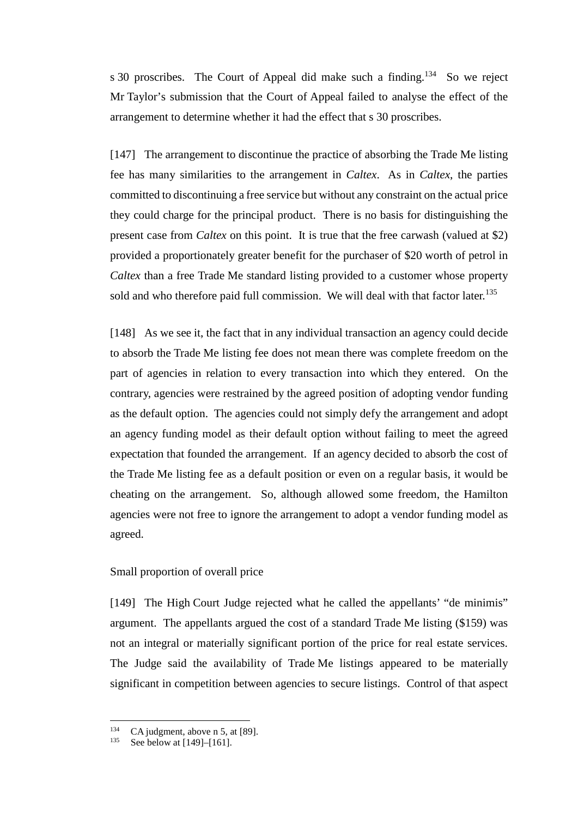s 30 proscribes. The Court of Appeal did make such a finding.<sup>134</sup> So we reject Mr Taylor's submission that the Court of Appeal failed to analyse the effect of the arrangement to determine whether it had the effect that s 30 proscribes.

[147] The arrangement to discontinue the practice of absorbing the Trade Me listing fee has many similarities to the arrangement in *Caltex*. As in *Caltex*, the parties committed to discontinuing a free service but without any constraint on the actual price they could charge for the principal product. There is no basis for distinguishing the present case from *Caltex* on this point. It is true that the free carwash (valued at \$2) provided a proportionately greater benefit for the purchaser of \$20 worth of petrol in *Caltex* than a free Trade Me standard listing provided to a customer whose property sold and who therefore paid full commission. We will deal with that factor later.<sup>135</sup>

[148] As we see it, the fact that in any individual transaction an agency could decide to absorb the Trade Me listing fee does not mean there was complete freedom on the part of agencies in relation to every transaction into which they entered. On the contrary, agencies were restrained by the agreed position of adopting vendor funding as the default option. The agencies could not simply defy the arrangement and adopt an agency funding model as their default option without failing to meet the agreed expectation that founded the arrangement. If an agency decided to absorb the cost of the Trade Me listing fee as a default position or even on a regular basis, it would be cheating on the arrangement. So, although allowed some freedom, the Hamilton agencies were not free to ignore the arrangement to adopt a vendor funding model as agreed.

### Small proportion of overall price

<span id="page-43-0"></span>[149] The High Court Judge rejected what he called the appellants' "de minimis" argument. The appellants argued the cost of a standard Trade Me listing (\$159) was not an integral or materially significant portion of the price for real estate services. The Judge said the availability of Trade Me listings appeared to be materially significant in competition between agencies to secure listings. Control of that aspect

<sup>&</sup>lt;sup>134</sup> CA judgment, above n [5,](#page-2-1) at [89].

See below at [\[149\]–](#page-43-0)[\[161\].](#page-48-2)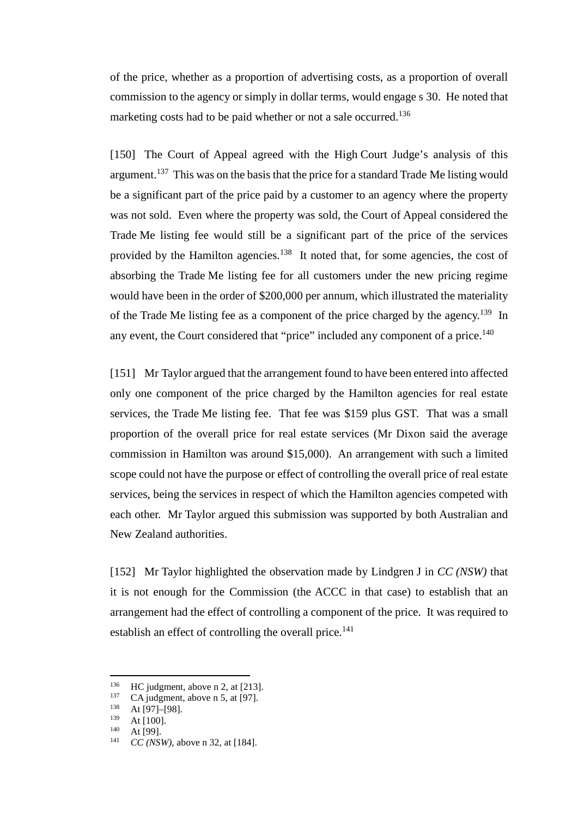of the price, whether as a proportion of advertising costs, as a proportion of overall commission to the agency or simply in dollar terms, would engage s 30. He noted that marketing costs had to be paid whether or not a sale occurred.<sup>136</sup>

[150] The Court of Appeal agreed with the High Court Judge's analysis of this argument.<sup>137</sup> This was on the basis that the price for a standard Trade Me listing would be a significant part of the price paid by a customer to an agency where the property was not sold. Even where the property was sold, the Court of Appeal considered the Trade Me listing fee would still be a significant part of the price of the services provided by the Hamilton agencies.<sup>138</sup> It noted that, for some agencies, the cost of absorbing the Trade Me listing fee for all customers under the new pricing regime would have been in the order of \$200,000 per annum, which illustrated the materiality of the Trade Me listing fee as a component of the price charged by the agency.<sup>139</sup> In any event, the Court considered that "price" included any component of a price.<sup>140</sup>

[151] Mr Taylor argued that the arrangement found to have been entered into affected only one component of the price charged by the Hamilton agencies for real estate services, the Trade Me listing fee. That fee was \$159 plus GST. That was a small proportion of the overall price for real estate services (Mr Dixon said the average commission in Hamilton was around \$15,000). An arrangement with such a limited scope could not have the purpose or effect of controlling the overall price of real estate services, being the services in respect of which the Hamilton agencies competed with each other. Mr Taylor argued this submission was supported by both Australian and New Zealand authorities.

[152] Mr Taylor highlighted the observation made by Lindgren J in *CC (NSW)* that it is not enough for the Commission (the ACCC in that case) to establish that an arrangement had the effect of controlling a component of the price. It was required to establish an effect of controlling the overall price. $141$ 

<sup>&</sup>lt;sup>136</sup> HC judgment, above [n 2,](#page-2-0) at [213].<br><sup>137</sup> CA judgment, above n 5, at [97]

<sup>137</sup> CA judgment, above n [5,](#page-2-1) at [97].<br>  $138$  At [97]–[98].<br>  $139$  At [100]

 $139$  At [100].

 $140$  At [99].

*CC (NSW)*, above n [32,](#page-13-4) at [184].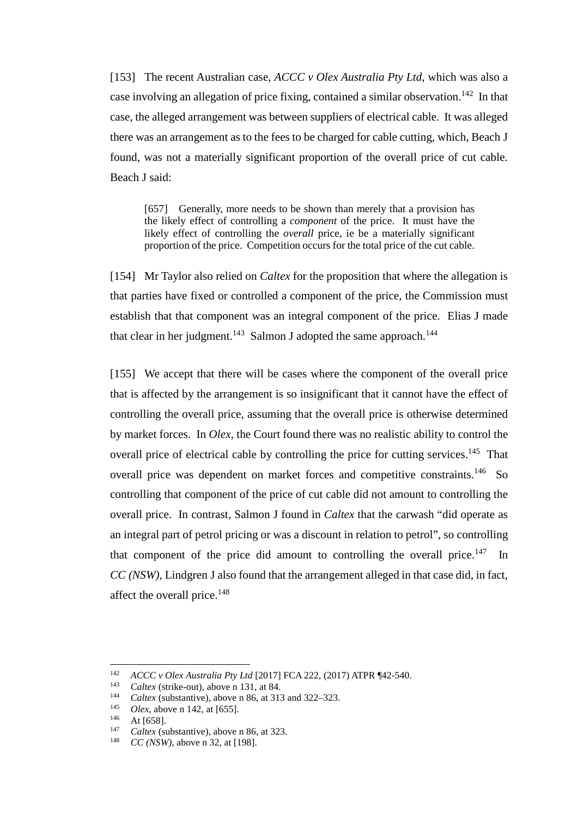[153] The recent Australian case, *ACCC v Olex Australia Pty Ltd*, which was also a case involving an allegation of price fixing, contained a similar observation.<sup>142</sup> In that case, the alleged arrangement was between suppliers of electrical cable. It was alleged there was an arrangement as to the fees to be charged for cable cutting, which, Beach J found, was not a materially significant proportion of the overall price of cut cable. Beach J said:

<span id="page-45-0"></span>[657] Generally, more needs to be shown than merely that a provision has the likely effect of controlling a *component* of the price. It must have the likely effect of controlling the *overall* price, ie be a materially significant proportion of the price. Competition occurs for the total price of the cut cable.

[154] Mr Taylor also relied on *Caltex* for the proposition that where the allegation is that parties have fixed or controlled a component of the price, the Commission must establish that that component was an integral component of the price. Elias J made that clear in her judgment.<sup>143</sup> Salmon J adopted the same approach.<sup>144</sup>

[155] We accept that there will be cases where the component of the overall price that is affected by the arrangement is so insignificant that it cannot have the effect of controlling the overall price, assuming that the overall price is otherwise determined by market forces. In *Olex,* the Court found there was no realistic ability to control the overall price of electrical cable by controlling the price for cutting services.<sup>145</sup> That overall price was dependent on market forces and competitive constraints.<sup>146</sup> So controlling that component of the price of cut cable did not amount to controlling the overall price. In contrast, Salmon J found in *Caltex* that the carwash "did operate as an integral part of petrol pricing or was a discount in relation to petrol", so controlling that component of the price did amount to controlling the overall price.<sup>147</sup> In *CC (NSW)*, Lindgren J also found that the arrangement alleged in that case did, in fact, affect the overall price.<sup>148</sup>

<sup>142</sup> *ACCC v Olex Australia Pty Ltd* [2017] FCA 222, (2017) ATPR ¶42-540.

<sup>&</sup>lt;sup>143</sup> *Caltex* (strike-out), above n [131,](#page-42-1) at 84.

<sup>&</sup>lt;sup>144</sup> *Caltex* (substantive), above n [86,](#page-28-0) at 313 and 322–323.<br><sup>145</sup> *Olax* above n 142 at [655]

<sup>&</sup>lt;sup>145</sup> *Olex*, above n [142,](#page-45-0) at [655].

 $146$  At [658].

<sup>&</sup>lt;sup>147</sup> *Caltex* (substantive), above n [86,](#page-28-0) at 323.

*CC* (*NSW*), above n [32,](#page-13-4) at [198].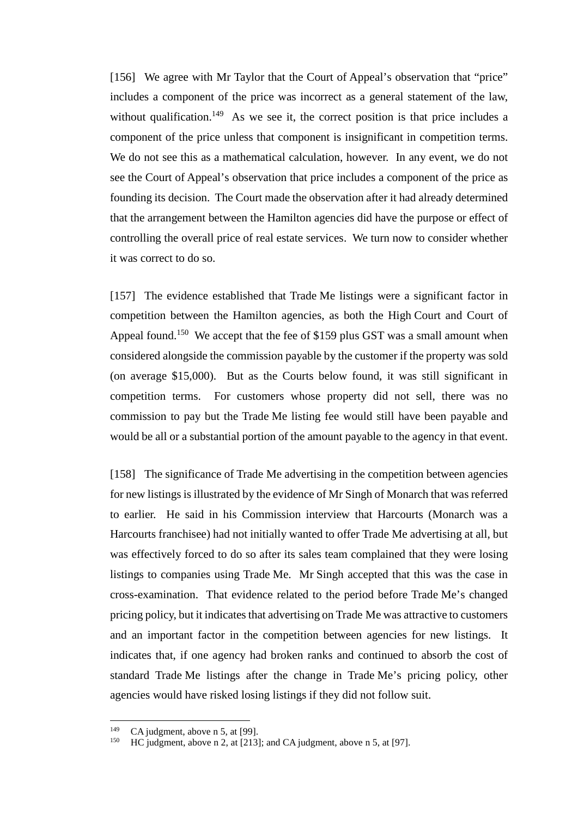[156] We agree with Mr Taylor that the Court of Appeal's observation that "price" includes a component of the price was incorrect as a general statement of the law, without qualification.<sup>149</sup> As we see it, the correct position is that price includes a component of the price unless that component is insignificant in competition terms. We do not see this as a mathematical calculation, however. In any event, we do not see the Court of Appeal's observation that price includes a component of the price as founding its decision. The Court made the observation after it had already determined that the arrangement between the Hamilton agencies did have the purpose or effect of controlling the overall price of real estate services. We turn now to consider whether it was correct to do so.

[157] The evidence established that Trade Me listings were a significant factor in competition between the Hamilton agencies, as both the High Court and Court of Appeal found.<sup>150</sup> We accept that the fee of \$159 plus GST was a small amount when considered alongside the commission payable by the customer if the property was sold (on average \$15,000). But as the Courts below found, it was still significant in competition terms. For customers whose property did not sell, there was no commission to pay but the Trade Me listing fee would still have been payable and would be all or a substantial portion of the amount payable to the agency in that event.

[158] The significance of Trade Me advertising in the competition between agencies for new listings is illustrated by the evidence of Mr Singh of Monarch that was referred to earlier. He said in his Commission interview that Harcourts (Monarch was a Harcourts franchisee) had not initially wanted to offer Trade Me advertising at all, but was effectively forced to do so after its sales team complained that they were losing listings to companies using Trade Me. Mr Singh accepted that this was the case in cross-examination. That evidence related to the period before Trade Me's changed pricing policy, but it indicates that advertising on Trade Me was attractive to customers and an important factor in the competition between agencies for new listings. It indicates that, if one agency had broken ranks and continued to absorb the cost of standard Trade Me listings after the change in Trade Me's pricing policy, other agencies would have risked losing listings if they did not follow suit.

<sup>&</sup>lt;sup>149</sup> CA judgment, above n [5,](#page-2-1) at [99].

HC judgment, above [n 2,](#page-2-0) at [213]; and CA judgment, above n [5,](#page-2-1) at [97].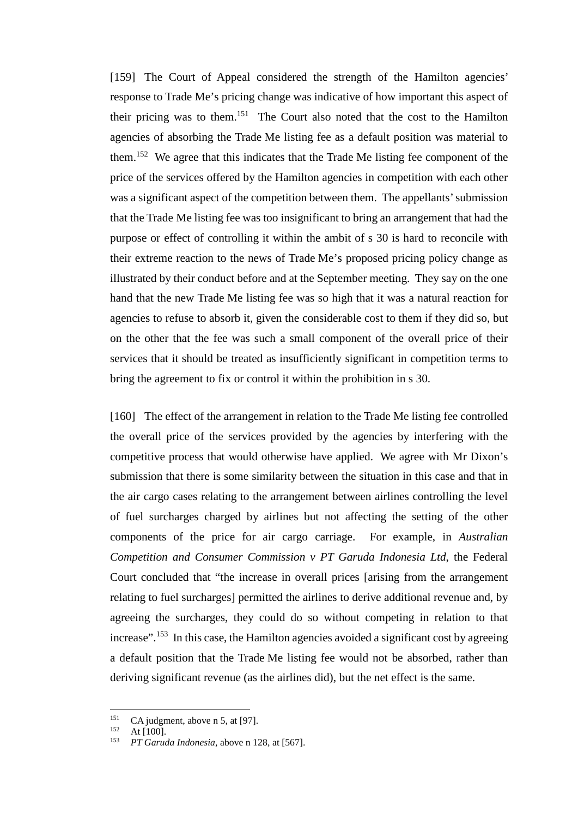[159] The Court of Appeal considered the strength of the Hamilton agencies' response to Trade Me's pricing change was indicative of how important this aspect of their pricing was to them.151 The Court also noted that the cost to the Hamilton agencies of absorbing the Trade Me listing fee as a default position was material to them.152 We agree that this indicates that the Trade Me listing fee component of the price of the services offered by the Hamilton agencies in competition with each other was a significant aspect of the competition between them. The appellants' submission that the Trade Me listing fee was too insignificant to bring an arrangement that had the purpose or effect of controlling it within the ambit of s 30 is hard to reconcile with their extreme reaction to the news of Trade Me's proposed pricing policy change as illustrated by their conduct before and at the September meeting. They say on the one hand that the new Trade Me listing fee was so high that it was a natural reaction for agencies to refuse to absorb it, given the considerable cost to them if they did so, but on the other that the fee was such a small component of the overall price of their services that it should be treated as insufficiently significant in competition terms to bring the agreement to fix or control it within the prohibition in s 30.

[160] The effect of the arrangement in relation to the Trade Me listing fee controlled the overall price of the services provided by the agencies by interfering with the competitive process that would otherwise have applied. We agree with Mr Dixon's submission that there is some similarity between the situation in this case and that in the air cargo cases relating to the arrangement between airlines controlling the level of fuel surcharges charged by airlines but not affecting the setting of the other components of the price for air cargo carriage. For example, in *Australian Competition and Consumer Commission v PT Garuda Indonesia Ltd*, the Federal Court concluded that "the increase in overall prices [arising from the arrangement relating to fuel surcharges] permitted the airlines to derive additional revenue and, by agreeing the surcharges, they could do so without competing in relation to that increase".<sup>153</sup> In this case, the Hamilton agencies avoided a significant cost by agreeing a default position that the Trade Me listing fee would not be absorbed, rather than deriving significant revenue (as the airlines did), but the net effect is the same.

<sup>&</sup>lt;sup>151</sup> CA judgment, above n [5,](#page-2-1) at [97].

 $152 \text{ At } [100].$ 

<sup>153</sup> *PT Garuda Indonesia*, above [n 128,](#page-41-1) at [567].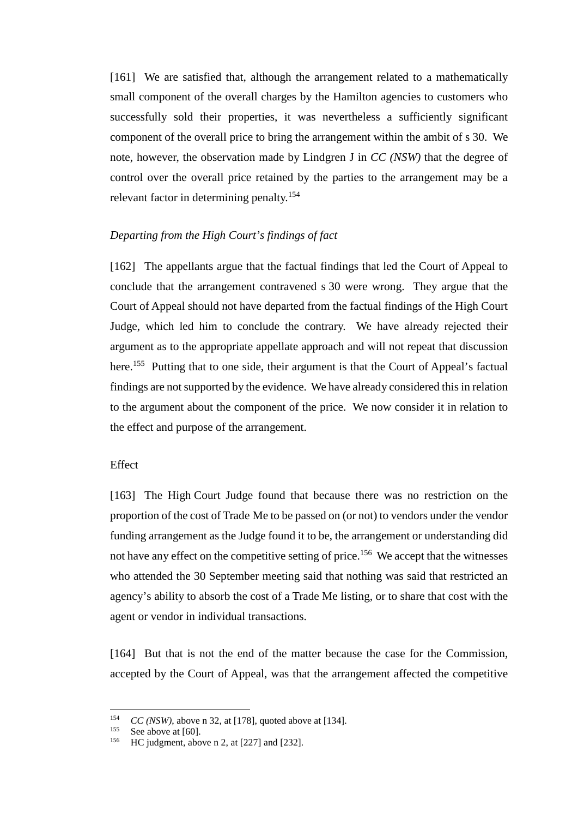<span id="page-48-2"></span>[161] We are satisfied that, although the arrangement related to a mathematically small component of the overall charges by the Hamilton agencies to customers who successfully sold their properties, it was nevertheless a sufficiently significant component of the overall price to bring the arrangement within the ambit of s 30. We note, however, the observation made by Lindgren J in *CC (NSW)* that the degree of control over the overall price retained by the parties to the arrangement may be a relevant factor in determining penalty.<sup>154</sup>

### *Departing from the High Court's findings of fact*

<span id="page-48-0"></span>[162] The appellants argue that the factual findings that led the Court of Appeal to conclude that the arrangement contravened s 30 were wrong. They argue that the Court of Appeal should not have departed from the factual findings of the High Court Judge, which led him to conclude the contrary. We have already rejected their argument as to the appropriate appellate approach and will not repeat that discussion here.<sup>155</sup> Putting that to one side, their argument is that the Court of Appeal's factual findings are not supported by the evidence. We have already considered this in relation to the argument about the component of the price. We now consider it in relation to the effect and purpose of the arrangement.

# **Effect**

<span id="page-48-1"></span>[163] The High Court Judge found that because there was no restriction on the proportion of the cost of Trade Me to be passed on (or not) to vendors under the vendor funding arrangement as the Judge found it to be, the arrangement or understanding did not have any effect on the competitive setting of price.<sup>156</sup> We accept that the witnesses who attended the 30 September meeting said that nothing was said that restricted an agency's ability to absorb the cost of a Trade Me listing, or to share that cost with the agent or vendor in individual transactions.

[164] But that is not the end of the matter because the case for the Commission, accepted by the Court of Appeal, was that the arrangement affected the competitive

<sup>&</sup>lt;sup>154</sup> *CC (NSW)*, above n [32,](#page-13-4) at [178], quoted above at [\[134\].](#page-39-0)

<sup>&</sup>lt;sup>155</sup> See above a[t \[60\].](#page-19-1)

HC judgment, above [n 2,](#page-2-0) at  $[227]$  and  $[232]$ .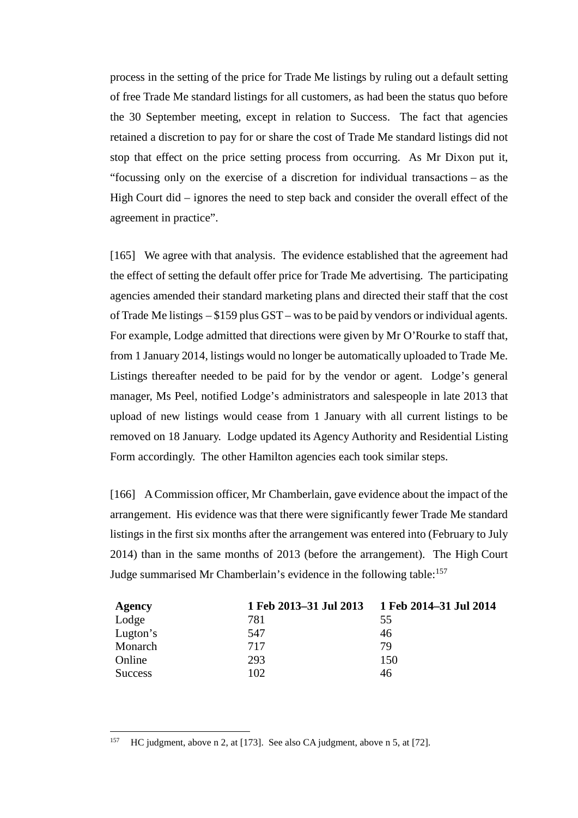process in the setting of the price for Trade Me listings by ruling out a default setting of free Trade Me standard listings for all customers, as had been the status quo before the 30 September meeting, except in relation to Success. The fact that agencies retained a discretion to pay for or share the cost of Trade Me standard listings did not stop that effect on the price setting process from occurring. As Mr Dixon put it, "focussing only on the exercise of a discretion for individual transactions – as the High Court did – ignores the need to step back and consider the overall effect of the agreement in practice".

<span id="page-49-0"></span>[165] We agree with that analysis. The evidence established that the agreement had the effect of setting the default offer price for Trade Me advertising. The participating agencies amended their standard marketing plans and directed their staff that the cost of Trade Me listings – \$159 plus GST – was to be paid by vendors or individual agents. For example, Lodge admitted that directions were given by Mr O'Rourke to staff that, from 1 January 2014, listings would no longer be automatically uploaded to Trade Me. Listings thereafter needed to be paid for by the vendor or agent. Lodge's general manager, Ms Peel, notified Lodge's administrators and salespeople in late 2013 that upload of new listings would cease from 1 January with all current listings to be removed on 18 January. Lodge updated its Agency Authority and Residential Listing Form accordingly. The other Hamilton agencies each took similar steps.

[166] A Commission officer, Mr Chamberlain, gave evidence about the impact of the arrangement. His evidence was that there were significantly fewer Trade Me standard listings in the first six months after the arrangement was entered into (February to July 2014) than in the same months of 2013 (before the arrangement). The High Court Judge summarised Mr Chamberlain's evidence in the following table:<sup>157</sup>

| Agency         | 1 Feb 2013-31 Jul 2013 1 Feb 2014-31 Jul 2014 |     |
|----------------|-----------------------------------------------|-----|
| Lodge          | 781                                           | 55  |
| Lugton's       | 547                                           | 46  |
| Monarch        | 717                                           | 79  |
| Online         | 293                                           | 150 |
| <b>Success</b> | 102                                           | 46  |

 <sup>157</sup> HC judgment, above [n 2,](#page-2-0) at [173]. See also CA judgment, above [n 5,](#page-2-1) at [72].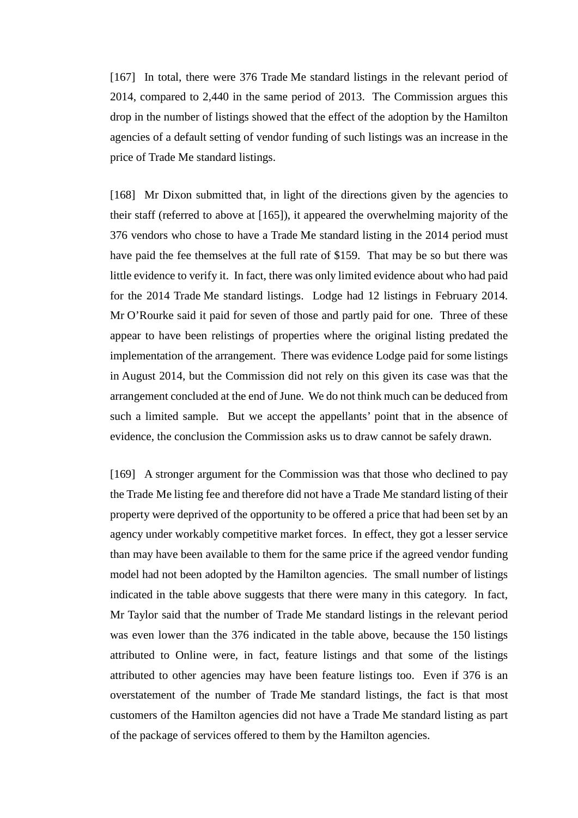[167] In total, there were 376 Trade Me standard listings in the relevant period of 2014, compared to 2,440 in the same period of 2013. The Commission argues this drop in the number of listings showed that the effect of the adoption by the Hamilton agencies of a default setting of vendor funding of such listings was an increase in the price of Trade Me standard listings.

[168] Mr Dixon submitted that, in light of the directions given by the agencies to their staff (referred to above at [\[165\]\)](#page-49-0), it appeared the overwhelming majority of the 376 vendors who chose to have a Trade Me standard listing in the 2014 period must have paid the fee themselves at the full rate of \$159. That may be so but there was little evidence to verify it. In fact, there was only limited evidence about who had paid for the 2014 Trade Me standard listings. Lodge had 12 listings in February 2014. Mr O'Rourke said it paid for seven of those and partly paid for one. Three of these appear to have been relistings of properties where the original listing predated the implementation of the arrangement. There was evidence Lodge paid for some listings in August 2014, but the Commission did not rely on this given its case was that the arrangement concluded at the end of June. We do not think much can be deduced from such a limited sample. But we accept the appellants' point that in the absence of evidence, the conclusion the Commission asks us to draw cannot be safely drawn.

[169] A stronger argument for the Commission was that those who declined to pay the Trade Me listing fee and therefore did not have a Trade Me standard listing of their property were deprived of the opportunity to be offered a price that had been set by an agency under workably competitive market forces. In effect, they got a lesser service than may have been available to them for the same price if the agreed vendor funding model had not been adopted by the Hamilton agencies. The small number of listings indicated in the table above suggests that there were many in this category. In fact, Mr Taylor said that the number of Trade Me standard listings in the relevant period was even lower than the 376 indicated in the table above, because the 150 listings attributed to Online were, in fact, feature listings and that some of the listings attributed to other agencies may have been feature listings too. Even if 376 is an overstatement of the number of Trade Me standard listings, the fact is that most customers of the Hamilton agencies did not have a Trade Me standard listing as part of the package of services offered to them by the Hamilton agencies.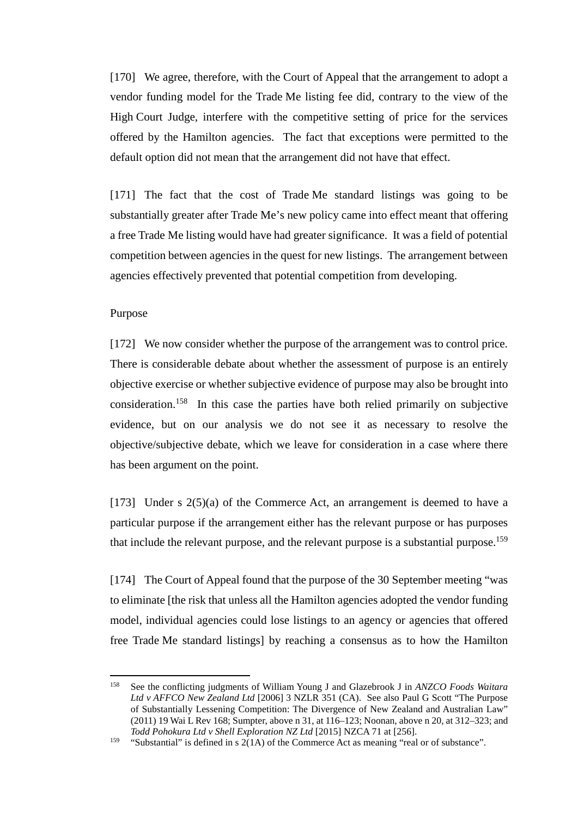[170] We agree, therefore, with the Court of Appeal that the arrangement to adopt a vendor funding model for the Trade Me listing fee did, contrary to the view of the High Court Judge, interfere with the competitive setting of price for the services offered by the Hamilton agencies. The fact that exceptions were permitted to the default option did not mean that the arrangement did not have that effect.

[171] The fact that the cost of Trade Me standard listings was going to be substantially greater after Trade Me's new policy came into effect meant that offering a free Trade Me listing would have had greater significance. It was a field of potential competition between agencies in the quest for new listings. The arrangement between agencies effectively prevented that potential competition from developing.

### Purpose

<span id="page-51-0"></span>[172] We now consider whether the purpose of the arrangement was to control price. There is considerable debate about whether the assessment of purpose is an entirely objective exercise or whether subjective evidence of purpose may also be brought into consideration.158 In this case the parties have both relied primarily on subjective evidence, but on our analysis we do not see it as necessary to resolve the objective/subjective debate, which we leave for consideration in a case where there has been argument on the point.

[173] Under s  $2(5)(a)$  of the Commerce Act, an arrangement is deemed to have a particular purpose if the arrangement either has the relevant purpose or has purposes that include the relevant purpose, and the relevant purpose is a substantial purpose.<sup>159</sup>

[174] The Court of Appeal found that the purpose of the 30 September meeting "was to eliminate [the risk that unless all the Hamilton agencies adopted the vendor funding model, individual agencies could lose listings to an agency or agencies that offered free Trade Me standard listings] by reaching a consensus as to how the Hamilton

 <sup>158</sup> See the conflicting judgments of William Young J and Glazebrook J in *ANZCO Foods Waitara Ltd v AFFCO New Zealand Ltd* [2006] 3 NZLR 351 (CA). See also Paul G Scott "The Purpose of Substantially Lessening Competition: The Divergence of New Zealand and Australian Law" (2011) 19 Wai L Rev 168; Sumpter, above [n 31,](#page-13-1) at 116–123; Noonan, above [n 20,](#page-10-2) at 312–323; and *Todd Pohokura Ltd v Shell Exploration NZ Ltd* [2015] NZCA 71 at [256].

<sup>&</sup>lt;sup>159</sup> "Substantial" is defined in s  $2(1A)$  of the Commerce Act as meaning "real or of substance".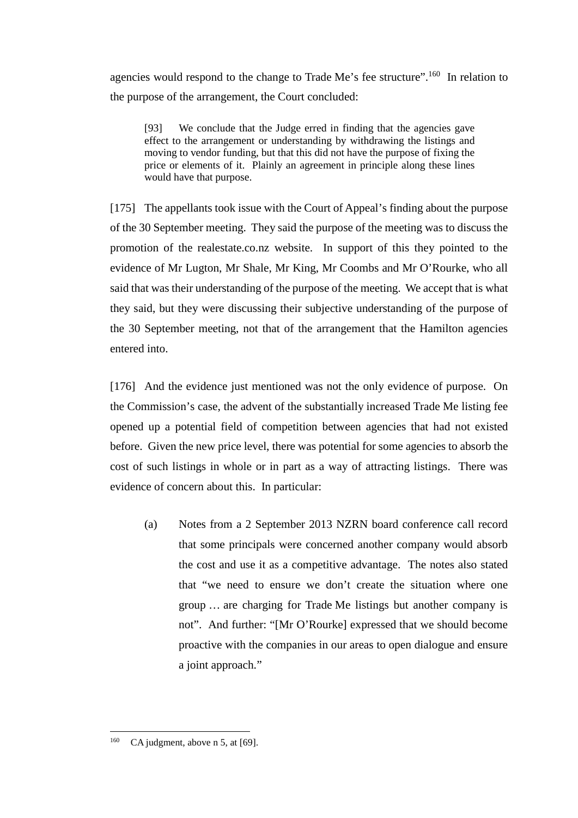agencies would respond to the change to Trade Me's fee structure".160 In relation to the purpose of the arrangement, the Court concluded:

[93] We conclude that the Judge erred in finding that the agencies gave effect to the arrangement or understanding by withdrawing the listings and moving to vendor funding, but that this did not have the purpose of fixing the price or elements of it. Plainly an agreement in principle along these lines would have that purpose.

<span id="page-52-0"></span>[175] The appellants took issue with the Court of Appeal's finding about the purpose of the 30 September meeting. They said the purpose of the meeting was to discuss the promotion of the realestate.co.nz website. In support of this they pointed to the evidence of Mr Lugton, Mr Shale, Mr King, Mr Coombs and Mr O'Rourke, who all said that was their understanding of the purpose of the meeting. We accept that is what they said, but they were discussing their subjective understanding of the purpose of the 30 September meeting, not that of the arrangement that the Hamilton agencies entered into.

[176] And the evidence just mentioned was not the only evidence of purpose. On the Commission's case, the advent of the substantially increased Trade Me listing fee opened up a potential field of competition between agencies that had not existed before. Given the new price level, there was potential for some agencies to absorb the cost of such listings in whole or in part as a way of attracting listings. There was evidence of concern about this. In particular:

(a) Notes from a 2 September 2013 NZRN board conference call record that some principals were concerned another company would absorb the cost and use it as a competitive advantage. The notes also stated that "we need to ensure we don't create the situation where one group … are charging for Trade Me listings but another company is not". And further: "[Mr O'Rourke] expressed that we should become proactive with the companies in our areas to open dialogue and ensure a joint approach."

<sup>&</sup>lt;sup>160</sup> CA judgment, above n [5,](#page-2-1) at [69].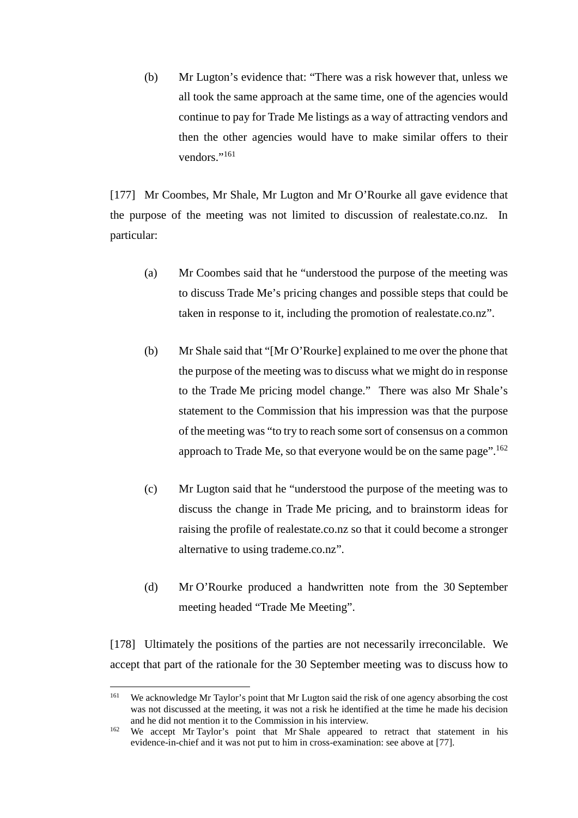(b) Mr Lugton's evidence that: "There was a risk however that, unless we all took the same approach at the same time, one of the agencies would continue to pay for Trade Me listings as a way of attracting vendors and then the other agencies would have to make similar offers to their vendors<sup>"161</sup>

[177] Mr Coombes, Mr Shale, Mr Lugton and Mr O'Rourke all gave evidence that the purpose of the meeting was not limited to discussion of realestate.co.nz. In particular:

- (a) Mr Coombes said that he "understood the purpose of the meeting was to discuss Trade Me's pricing changes and possible steps that could be taken in response to it, including the promotion of realestate.co.nz".
- (b) Mr Shale said that "[Mr O'Rourke] explained to me over the phone that the purpose of the meeting was to discuss what we might do in response to the Trade Me pricing model change." There was also Mr Shale's statement to the Commission that his impression was that the purpose of the meeting was "to try to reach some sort of consensus on a common approach to Trade Me, so that everyone would be on the same page".<sup>162</sup>
- (c) Mr Lugton said that he "understood the purpose of the meeting was to discuss the change in Trade Me pricing, and to brainstorm ideas for raising the profile of realestate.co.nz so that it could become a stronger alternative to using trademe.co.nz".
- (d) Mr O'Rourke produced a handwritten note from the 30 September meeting headed "Trade Me Meeting".

[178] Ultimately the positions of the parties are not necessarily irreconcilable. We accept that part of the rationale for the 30 September meeting was to discuss how to

<sup>&</sup>lt;sup>161</sup> We acknowledge Mr Taylor's point that Mr Lugton said the risk of one agency absorbing the cost was not discussed at the meeting, it was not a risk he identified at the time he made his decision and he did not mention it to the Commission in his interview.

<sup>&</sup>lt;sup>162</sup> We accept Mr Taylor's point that Mr Shale appeared to retract that statement in his evidence-in-chief and it was not put to him in cross-examination: see above at [\[77\].](#page-24-1)